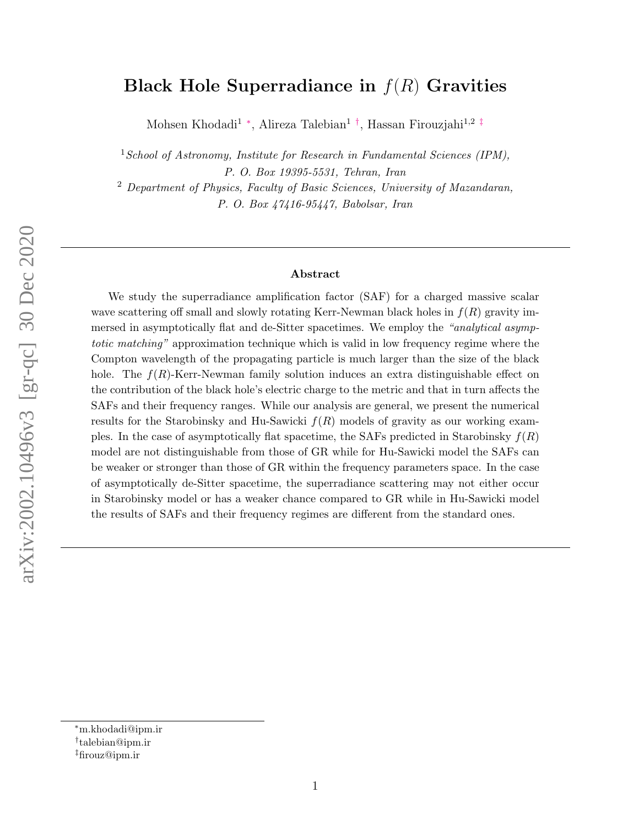# Black Hole Superradiance in  $f(R)$  Gravities

Mohsen Khodadi<sup>1</sup> \*, Alireza Talebian<sup>1[†](#page-0-1)</sup>, Hassan Firouzjahi<sup>1,2[‡](#page-0-2)</sup>

<sup>1</sup> School of Astronomy, Institute for Research in Fundamental Sciences (IPM), P. O. Box 19395-5531, Tehran, Iran

<sup>2</sup> Department of Physics, Faculty of Basic Sciences, University of Mazandaran, P. O. Box 47416-95447, Babolsar, Iran

#### Abstract

We study the superradiance amplification factor (SAF) for a charged massive scalar wave scattering off small and slowly rotating Kerr-Newman black holes in  $f(R)$  gravity immersed in asymptotically flat and de-Sitter spacetimes. We employ the "analytical asymptotic matching" approximation technique which is valid in low frequency regime where the Compton wavelength of the propagating particle is much larger than the size of the black hole. The  $f(R)$ -Kerr-Newman family solution induces an extra distinguishable effect on the contribution of the black hole's electric charge to the metric and that in turn affects the SAFs and their frequency ranges. While our analysis are general, we present the numerical results for the Starobinsky and Hu-Sawicki  $f(R)$  models of gravity as our working examples. In the case of asymptotically flat spacetime, the SAFs predicted in Starobinsky  $f(R)$ model are not distinguishable from those of GR while for Hu-Sawicki model the SAFs can be weaker or stronger than those of GR within the frequency parameters space. In the case of asymptotically de-Sitter spacetime, the superradiance scattering may not either occur in Starobinsky model or has a weaker chance compared to GR while in Hu-Sawicki model the results of SAFs and their frequency regimes are different from the standard ones.

<span id="page-0-0"></span><sup>∗</sup>m.khodadi@ipm.ir

<span id="page-0-1"></span><sup>†</sup> talebian@ipm.ir

<span id="page-0-2"></span><sup>‡</sup>firouz@ipm.ir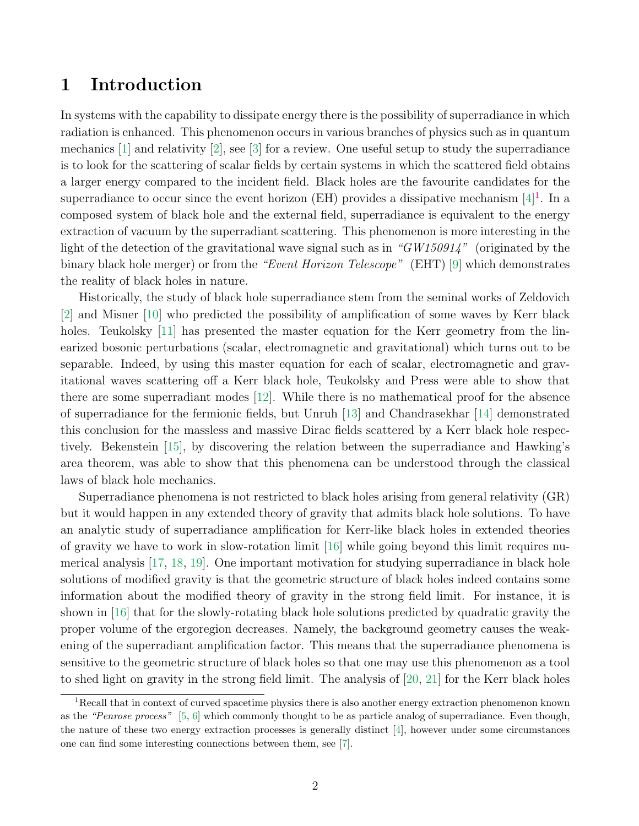## 1 Introduction

In systems with the capability to dissipate energy there is the possibility of superradiance in which radiation is enhanced. This phenomenon occurs in various branches of physics such as in quantum mechanics [\[1\]](#page-19-0) and relativity [\[2\]](#page-19-1), see [\[3\]](#page-19-2) for a review. One useful setup to study the superradiance is to look for the scattering of scalar fields by certain systems in which the scattered field obtains a larger energy compared to the incident field. Black holes are the favourite candidates for the superradiance to occur since the event horizon (EH) provides a dissipative mechanism  $[4]$ <sup>[1](#page-1-0)</sup>. In a composed system of black hole and the external field, superradiance is equivalent to the energy extraction of vacuum by the superradiant scattering. This phenomenon is more interesting in the light of the detection of the gravitational wave signal such as in "GW150914" (originated by the binary black hole merger) or from the "Event Horizon Telescope" (EHT) [\[9\]](#page-19-4) which demonstrates the reality of black holes in nature.

Historically, the study of black hole superradiance stem from the seminal works of Zeldovich [\[2\]](#page-19-1) and Misner [\[10\]](#page-19-5) who predicted the possibility of amplification of some waves by Kerr black holes. Teukolsky [\[11\]](#page-19-6) has presented the master equation for the Kerr geometry from the linearized bosonic perturbations (scalar, electromagnetic and gravitational) which turns out to be separable. Indeed, by using this master equation for each of scalar, electromagnetic and gravitational waves scattering off a Kerr black hole, Teukolsky and Press were able to show that there are some superradiant modes [\[12\]](#page-19-7). While there is no mathematical proof for the absence of superradiance for the fermionic fields, but Unruh [\[13\]](#page-19-8) and Chandrasekhar [\[14\]](#page-19-9) demonstrated this conclusion for the massless and massive Dirac fields scattered by a Kerr black hole respectively. Bekenstein [\[15\]](#page-19-10), by discovering the relation between the superradiance and Hawking's area theorem, was able to show that this phenomena can be understood through the classical laws of black hole mechanics.

Superradiance phenomena is not restricted to black holes arising from general relativity (GR) but it would happen in any extended theory of gravity that admits black hole solutions. To have an analytic study of superradiance amplification for Kerr-like black holes in extended theories of gravity we have to work in slow-rotation limit [\[16\]](#page-20-0) while going beyond this limit requires numerical analysis [\[17,](#page-20-1) [18,](#page-20-2) [19\]](#page-20-3). One important motivation for studying superradiance in black hole solutions of modified gravity is that the geometric structure of black holes indeed contains some information about the modified theory of gravity in the strong field limit. For instance, it is shown in [\[16\]](#page-20-0) that for the slowly-rotating black hole solutions predicted by quadratic gravity the proper volume of the ergoregion decreases. Namely, the background geometry causes the weakening of the superradiant amplification factor. This means that the superradiance phenomena is sensitive to the geometric structure of black holes so that one may use this phenomenon as a tool to shed light on gravity in the strong field limit. The analysis of [\[20,](#page-20-4) [21\]](#page-20-5) for the Kerr black holes

<span id="page-1-0"></span><sup>&</sup>lt;sup>1</sup>Recall that in context of curved spacetime physics there is also another energy extraction phenomenon known as the "Penrose process" [\[5,](#page-19-11) [6\]](#page-19-12) which commonly thought to be as particle analog of superradiance. Even though, the nature of these two energy extraction processes is generally distinct [\[4\]](#page-19-3), however under some circumstances one can find some interesting connections between them, see [\[7\]](#page-19-13).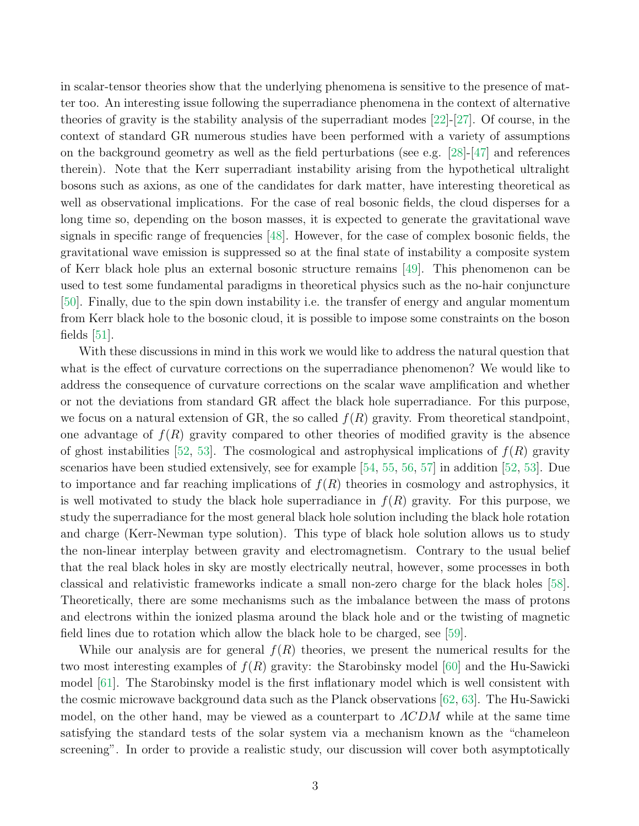in scalar-tensor theories show that the underlying phenomena is sensitive to the presence of matter too. An interesting issue following the superradiance phenomena in the context of alternative theories of gravity is the stability analysis of the superradiant modes [\[22\]](#page-20-6)-[\[27\]](#page-20-7). Of course, in the context of standard GR numerous studies have been performed with a variety of assumptions on the background geometry as well as the field perturbations (see e.g.  $[28]-[47]$  $[28]-[47]$  and references therein). Note that the Kerr superradiant instability arising from the hypothetical ultralight bosons such as axions, as one of the candidates for dark matter, have interesting theoretical as well as observational implications. For the case of real bosonic fields, the cloud disperses for a long time so, depending on the boson masses, it is expected to generate the gravitational wave signals in specific range of frequencies [\[48\]](#page-21-1). However, for the case of complex bosonic fields, the gravitational wave emission is suppressed so at the final state of instability a composite system of Kerr black hole plus an external bosonic structure remains [\[49\]](#page-21-2). This phenomenon can be used to test some fundamental paradigms in theoretical physics such as the no-hair conjuncture [\[50\]](#page-21-3). Finally, due to the spin down instability i.e. the transfer of energy and angular momentum from Kerr black hole to the bosonic cloud, it is possible to impose some constraints on the boson fields  $|51|$ .

With these discussions in mind in this work we would like to address the natural question that what is the effect of curvature corrections on the superradiance phenomenon? We would like to address the consequence of curvature corrections on the scalar wave amplification and whether or not the deviations from standard GR affect the black hole superradiance. For this purpose, we focus on a natural extension of GR, the so called  $f(R)$  gravity. From theoretical standpoint, one advantage of  $f(R)$  gravity compared to other theories of modified gravity is the absence of ghost instabilities [\[52,](#page-21-5) [53\]](#page-22-0). The cosmological and astrophysical implications of  $f(R)$  gravity scenarios have been studied extensively, see for example [\[54,](#page-22-1) [55,](#page-22-2) [56,](#page-22-3) [57\]](#page-22-4) in addition [\[52,](#page-21-5) [53\]](#page-22-0). Due to importance and far reaching implications of  $f(R)$  theories in cosmology and astrophysics, it is well motivated to study the black hole superradiance in  $f(R)$  gravity. For this purpose, we study the superradiance for the most general black hole solution including the black hole rotation and charge (Kerr-Newman type solution). This type of black hole solution allows us to study the non-linear interplay between gravity and electromagnetism. Contrary to the usual belief that the real black holes in sky are mostly electrically neutral, however, some processes in both classical and relativistic frameworks indicate a small non-zero charge for the black holes [\[58\]](#page-22-5). Theoretically, there are some mechanisms such as the imbalance between the mass of protons and electrons within the ionized plasma around the black hole and or the twisting of magnetic field lines due to rotation which allow the black hole to be charged, see [\[59\]](#page-22-6).

While our analysis are for general  $f(R)$  theories, we present the numerical results for the two most interesting examples of  $f(R)$  gravity: the Starobinsky model [\[60\]](#page-22-7) and the Hu-Sawicki model [\[61\]](#page-22-8). The Starobinsky model is the first inflationary model which is well consistent with the cosmic microwave background data such as the Planck observations [\[62,](#page-22-9) [63\]](#page-22-10). The Hu-Sawicki model, on the other hand, may be viewed as a counterpart to  $\Lambda CDM$  while at the same time satisfying the standard tests of the solar system via a mechanism known as the "chameleon screening". In order to provide a realistic study, our discussion will cover both asymptotically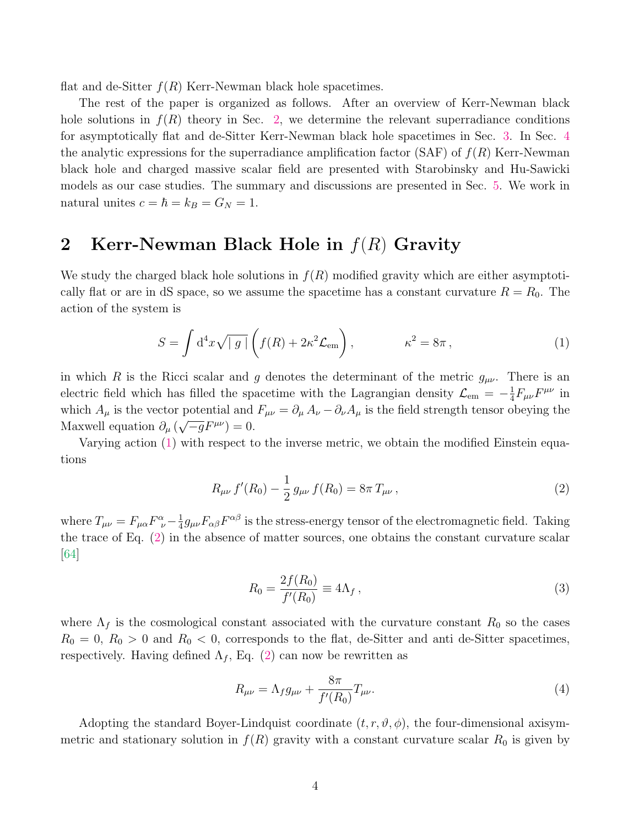flat and de-Sitter  $f(R)$  Kerr-Newman black hole spacetimes.

The rest of the paper is organized as follows. After an overview of Kerr-Newman black hole solutions in  $f(R)$  theory in Sec. [2,](#page-3-0) we determine the relevant superradiance conditions for asymptotically flat and de-Sitter Kerr-Newman black hole spacetimes in Sec. [3.](#page-5-0) In Sec. [4](#page-8-0) the analytic expressions for the superradiance amplification factor  $(SAF)$  of  $f(R)$  Kerr-Newman black hole and charged massive scalar field are presented with Starobinsky and Hu-Sawicki models as our case studies. The summary and discussions are presented in Sec. [5.](#page-17-0) We work in natural unites  $c = \hbar = k_B = G_N = 1$ .

# <span id="page-3-0"></span>2 Kerr-Newman Black Hole in  $f(R)$  Gravity

We study the charged black hole solutions in  $f(R)$  modified gravity which are either asymptotically flat or are in dS space, so we assume the spacetime has a constant curvature  $R = R_0$ . The action of the system is

<span id="page-3-1"></span>
$$
S = \int d^4x \sqrt{|g|} \left( f(R) + 2\kappa^2 \mathcal{L}_{em} \right), \qquad \kappa^2 = 8\pi \,, \tag{1}
$$

in which R is the Ricci scalar and g denotes the determinant of the metric  $g_{\mu\nu}$ . There is an electric field which has filled the spacetime with the Lagrangian density  $\mathcal{L}_{em} = -\frac{1}{4}$  $\frac{1}{4}F_{\mu\nu}F^{\mu\nu}$  in which  $A_{\mu}$  is the vector potential and  $F_{\mu\nu} = \partial_{\mu} A_{\nu} - \partial_{\nu} A_{\mu}$  is the field strength tensor obeying the Maxwell equation  $\partial_{\mu}(\sqrt{-g}F^{\mu\nu})=0.$ 

Varying action [\(1\)](#page-3-1) with respect to the inverse metric, we obtain the modified Einstein equations

<span id="page-3-2"></span>
$$
R_{\mu\nu} f'(R_0) - \frac{1}{2} g_{\mu\nu} f(R_0) = 8\pi T_{\mu\nu},
$$
\n(2)

where  $T_{\mu\nu} = F_{\mu\alpha} F^{\alpha}_{\ \nu} - \frac{1}{4}$  $\frac{1}{4}g_{\mu\nu}F_{\alpha\beta}F^{\alpha\beta}$  is the stress-energy tensor of the electromagnetic field. Taking the trace of Eq. [\(2\)](#page-3-2) in the absence of matter sources, one obtains the constant curvature scalar [\[64\]](#page-22-11)

$$
R_0 = \frac{2f(R_0)}{f'(R_0)} \equiv 4\Lambda_f, \qquad (3)
$$

where  $\Lambda_f$  is the cosmological constant associated with the curvature constant  $R_0$  so the cases  $R_0 = 0, R_0 > 0$  and  $R_0 < 0$ , corresponds to the flat, de-Sitter and anti de-Sitter spacetimes, respectively. Having defined  $\Lambda_f$ , Eq. [\(2\)](#page-3-2) can now be rewritten as

$$
R_{\mu\nu} = \Lambda_f g_{\mu\nu} + \frac{8\pi}{f'(R_0)} T_{\mu\nu}.
$$
\n(4)

Adopting the standard Boyer-Lindquist coordinate  $(t, r, \vartheta, \phi)$ , the four-dimensional axisymmetric and stationary solution in  $f(R)$  gravity with a constant curvature scalar  $R_0$  is given by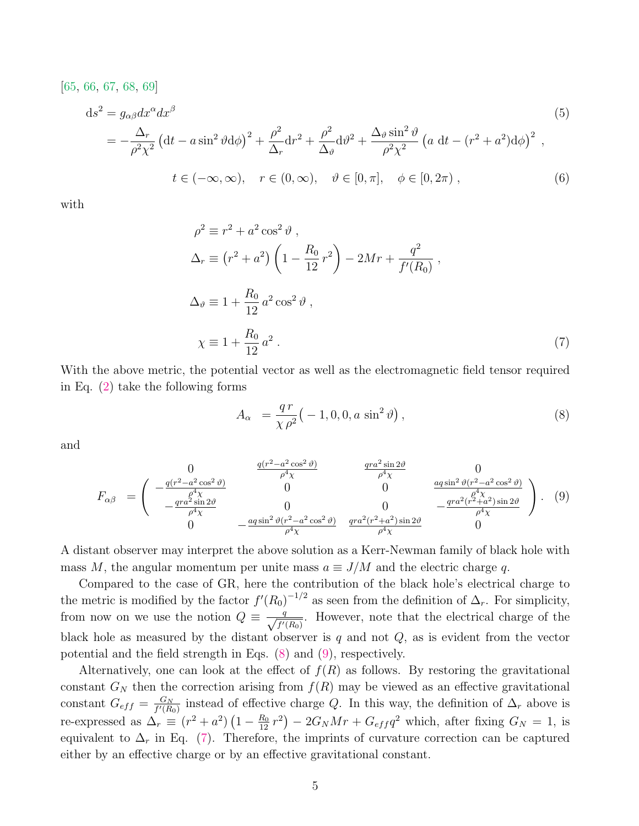[\[65,](#page-22-12) [66,](#page-22-13) [67,](#page-22-14) [68,](#page-22-15) [69\]](#page-22-16)

$$
ds^{2} = g_{\alpha\beta}dx^{\alpha}dx^{\beta}
$$
\n
$$
= -\frac{\Delta_{r}}{\rho^{2}\chi^{2}}\left(dt - a\sin^{2}\theta d\phi\right)^{2} + \frac{\rho^{2}}{\Delta_{r}}dr^{2} + \frac{\rho^{2}}{\Delta_{\theta}}d\theta^{2} + \frac{\Delta_{\theta}\sin^{2}\theta}{\rho^{2}\chi^{2}}\left(a\ dt - (r^{2} + a^{2})d\phi\right)^{2},
$$
\n
$$
t \in (-\infty, \infty), \quad r \in (0, \infty), \quad \theta \in [0, \pi], \quad \phi \in [0, 2\pi),
$$
\n(6)

with

$$
\rho^2 \equiv r^2 + a^2 \cos^2 \vartheta ,
$$
  
\n
$$
\Delta_r \equiv (r^2 + a^2) \left( 1 - \frac{R_0}{12} r^2 \right) - 2Mr + \frac{q^2}{f'(R_0)} ,
$$
  
\n
$$
\Delta_{\vartheta} \equiv 1 + \frac{R_0}{12} a^2 \cos^2 \vartheta ,
$$
  
\n
$$
\chi \equiv 1 + \frac{R_0}{12} a^2 .
$$
\n(7)

With the above metric, the potential vector as well as the electromagnetic field tensor required in Eq. [\(2\)](#page-3-2) take the following forms

<span id="page-4-2"></span><span id="page-4-0"></span>
$$
A_{\alpha} = \frac{qr}{\chi \rho^2} \left( -1, 0, 0, a \sin^2 \vartheta \right), \tag{8}
$$

and

<span id="page-4-1"></span>
$$
F_{\alpha\beta} = \begin{pmatrix} 0 & \frac{q(r^2 - a^2 \cos^2 \vartheta)}{\rho^4 \chi} & \frac{qra^2 \sin 2\vartheta}{\rho^4 \chi} & 0\\ -\frac{qr^2 - a^2 \cos^2 \vartheta}{\rho^4 \chi} & 0 & 0 & \frac{aq \sin^2 \vartheta (r^2 - a^2 \cos^2 \vartheta)}{\rho^4 \chi} \\ 0 & -\frac{qra^2 \sin 2\vartheta}{\rho^4 \chi} & 0 & 0 & -\frac{qra^2(r^2 + a^2) \sin 2\vartheta}{\rho^4 \chi} \end{pmatrix} . \tag{9}
$$

A distant observer may interpret the above solution as a Kerr-Newman family of black hole with mass M, the angular momentum per unite mass  $a \equiv J/M$  and the electric charge q.

Compared to the case of GR, here the contribution of the black hole's electrical charge to the metric is modified by the factor  $f'(R_0)^{-1/2}$  as seen from the definition of  $\Delta_r$ . For simplicity, from now on we use the notion  $Q \equiv \frac{q}{\sqrt{q}}$  $\frac{q}{f'(R_0)}$ . However, note that the electrical charge of the black hole as measured by the distant observer is  $q$  and not  $Q$ , as is evident from the vector potential and the field strength in Eqs. [\(8\)](#page-4-0) and [\(9\)](#page-4-1), respectively.

Alternatively, one can look at the effect of  $f(R)$  as follows. By restoring the gravitational constant  $G_N$  then the correction arising from  $f(R)$  may be viewed as an effective gravitational constant  $G_{eff} = \frac{G_N}{f'(R)}$  $\frac{G_N}{f'(R_0)}$  instead of effective charge Q. In this way, the definition of  $\Delta_r$  above is re-expressed as  $\Delta_r \equiv (r^2 + a^2) (1 - \frac{R_0}{12} r^2) - 2G_N Mr + G_{eff} q^2$  which, after fixing  $G_N = 1$ , is equivalent to  $\Delta_r$  in Eq. [\(7\)](#page-4-2). Therefore, the imprints of curvature correction can be captured either by an effective charge or by an effective gravitational constant.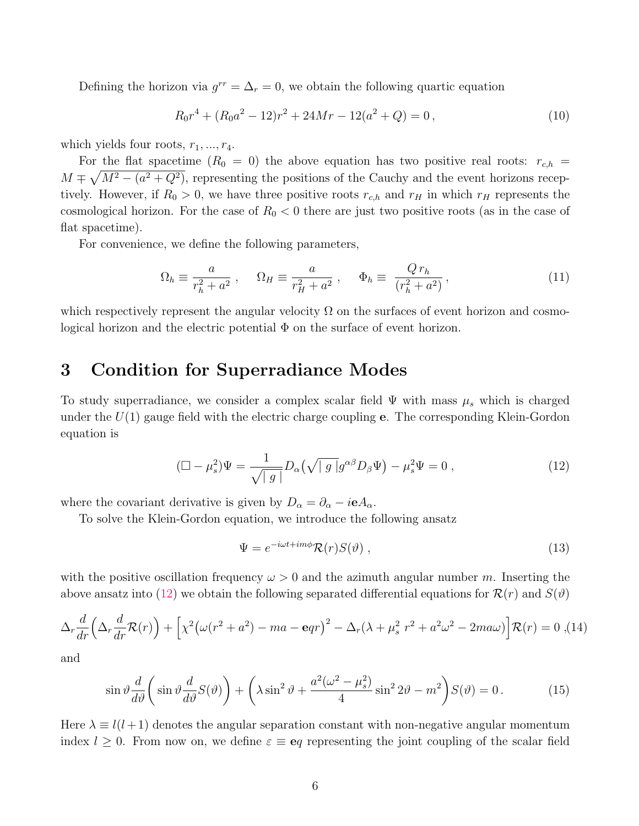Defining the horizon via  $g^{rr} = \Delta_r = 0$ , we obtain the following quartic equation

$$
R_0r^4 + (R_0a^2 - 12)r^2 + 24Mr - 12(a^2 + Q) = 0,
$$
\n(10)

which yields four roots,  $r_1, ..., r_4$ .

For the flat spacetime  $(R_0 = 0)$  the above equation has two positive real roots:  $r_{c,h}$  =  $M \mp \sqrt{M^2 - (a^2 + Q^2)}$ , representing the positions of the Cauchy and the event horizons receptively. However, if  $R_0 > 0$ , we have three positive roots  $r_{c,h}$  and  $r_H$  in which  $r_H$  represents the cosmological horizon. For the case of  $R_0 < 0$  there are just two positive roots (as in the case of flat spacetime).

For convenience, we define the following parameters,

$$
\Omega_h \equiv \frac{a}{r_h^2 + a^2} \,, \qquad \Omega_H \equiv \frac{a}{r_H^2 + a^2} \,, \qquad \Phi_h \equiv \frac{Q \, r_h}{(r_h^2 + a^2)} \,, \tag{11}
$$

which respectively represent the angular velocity  $\Omega$  on the surfaces of event horizon and cosmological horizon and the electric potential  $\Phi$  on the surface of event horizon.

### <span id="page-5-0"></span>3 Condition for Superradiance Modes

To study superradiance, we consider a complex scalar field  $\Psi$  with mass  $\mu_s$  which is charged under the  $U(1)$  gauge field with the electric charge coupling **e**. The corresponding Klein-Gordon equation is

$$
(\Box - \mu_s^2)\Psi = \frac{1}{\sqrt{|g|}} D_\alpha(\sqrt{|g|}g^{\alpha\beta}D_\beta\Psi) - \mu_s^2\Psi = 0 , \qquad (12)
$$

where the covariant derivative is given by  $D_{\alpha} = \partial_{\alpha} - i e A_{\alpha}$ .

To solve the Klein-Gordon equation, we introduce the following ansatz

<span id="page-5-1"></span>
$$
\Psi = e^{-i\omega t + im\phi} \mathcal{R}(r) S(\vartheta) , \qquad (13)
$$

with the positive oscillation frequency  $\omega > 0$  and the azimuth angular number m. Inserting the above ansatz into [\(12\)](#page-5-1) we obtain the following separated differential equations for  $\mathcal{R}(r)$  and  $S(\vartheta)$ 

<span id="page-5-2"></span>
$$
\Delta_r \frac{d}{dr} \left( \Delta_r \frac{d}{dr} \mathcal{R}(r) \right) + \left[ \chi^2 \big( \omega (r^2 + a^2) - ma - \mathbf{e}qr \big)^2 - \Delta_r (\lambda + \mu_s^2 r^2 + a^2 \omega^2 - 2ma\omega) \right] \mathcal{R}(r) = 0 , \text{(14)}
$$

and

$$
\sin\vartheta\frac{d}{d\vartheta}\left(\sin\vartheta\frac{d}{d\vartheta}S(\vartheta)\right) + \left(\lambda\sin^2\vartheta + \frac{a^2(\omega^2 - \mu_s^2)}{4}\sin^2 2\vartheta - m^2\right)S(\vartheta) = 0. \tag{15}
$$

Here  $\lambda \equiv l(l+1)$  denotes the angular separation constant with non-negative angular momentum index  $l \geq 0$ . From now on, we define  $\varepsilon \equiv \mathbf{e}q$  representing the joint coupling of the scalar field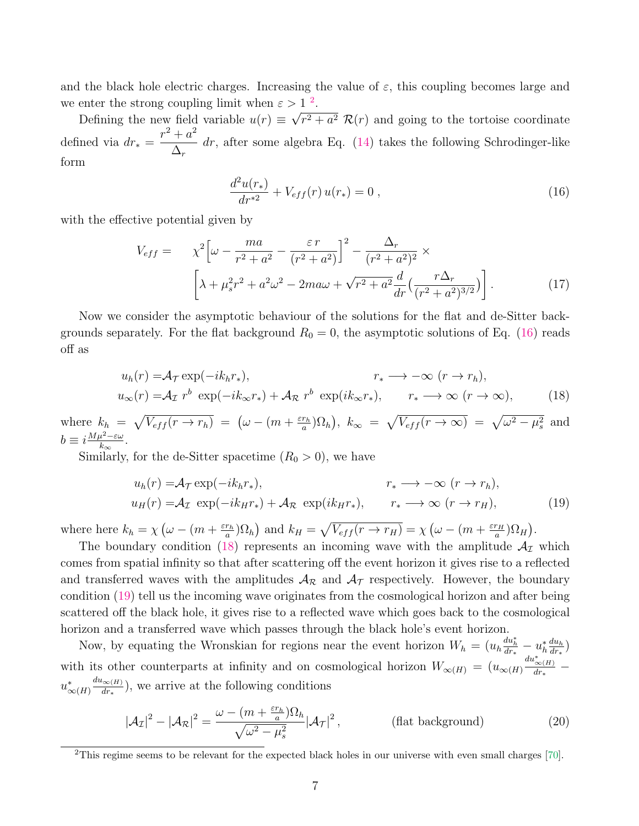and the black hole electric charges. Increasing the value of  $\varepsilon$ , this coupling becomes large and we enter the strong coupling limit when  $\varepsilon > 1$ <sup>[2](#page-6-0)</sup>. √

Defining the new field variable  $u(r) \equiv$  $(r^2 + a^2) \mathcal{R}(r)$  and going to the tortoise coordinate defined via  $dr_* =$  $r^2 + a^2$  $\Delta_r$  $dr$ , after some algebra Eq.  $(14)$  takes the following Schrodinger-like form

<span id="page-6-2"></span><span id="page-6-1"></span>
$$
\frac{d^2u(r_*)}{dr^{*2}} + V_{eff}(r)u(r_*) = 0 , \qquad (16)
$$

with the effective potential given by

$$
V_{eff} = \chi^2 \left[ \omega - \frac{ma}{r^2 + a^2} - \frac{\varepsilon r}{(r^2 + a^2)} \right]^2 - \frac{\Delta_r}{(r^2 + a^2)^2} \times \left[ \lambda + \mu_s^2 r^2 + a^2 \omega^2 - 2ma\omega + \sqrt{r^2 + a^2} \frac{d}{dr} \left( \frac{r\Delta_r}{(r^2 + a^2)^{3/2}} \right) \right].
$$
 (17)

Now we consider the asymptotic behaviour of the solutions for the flat and de-Sitter backgrounds separately. For the flat background  $R_0 = 0$ , the asymptotic solutions of Eq. [\(16\)](#page-6-1) reads off as

$$
u_h(r) = A_T \exp(-ik_h r_*), \qquad r_* \longrightarrow -\infty \ (r \to r_h),
$$
  

$$
u_\infty(r) = A_T r^b \exp(-ik_\infty r_*) + A_R r^b \exp(ik_\infty r_*), \qquad r_* \longrightarrow \infty \ (r \to \infty), \qquad (18)
$$

where  $k_h = \sqrt{V_{eff}(r \to r_h)} = (\omega - (m + \frac{\varepsilon r_h}{a}))$  $\frac{(r_h)}{a}$ ,  $\Omega_h$ ),  $k_{\infty} = \sqrt{V_{eff}(r \to \infty)} = \sqrt{\omega^2 - \mu_s^2}$  and  $b \equiv i \frac{M \mu^2 - \varepsilon \omega}{k}$  $\frac{u^2-\varepsilon\omega}{k_\infty}$ .

Similarly, for the de-Sitter spacetime  $(R_0 > 0)$ , we have

<span id="page-6-3"></span>
$$
u_h(r) = A_T \exp(-ik_h r_*),
$$
  
\n
$$
u_H(r) = A_T \exp(-ik_H r_*) + A_R \exp(ik_H r_*),
$$
  
\n
$$
r_* \longrightarrow -\infty \ (r \to r_h),
$$
  
\n
$$
r_* \longrightarrow -\infty \ (r \to r_h),
$$
  
\n(19)

where here  $k_h = \chi \left( \omega - \left( m + \frac{\varepsilon r_h}{a} \right) \right)$  $\frac{(r_h)}{a}$  ( $\Omega_h$ ) and  $k_H = \sqrt{V_{eff}(r \to r_H)} = \chi(\omega - (m + \frac{\varepsilon r_H}{a}))$  $\frac{r_H}{a}$ ) $\Omega_H$ ).

The boundary condition [\(18\)](#page-6-2) represents an incoming wave with the amplitude  $A<sub>I</sub>$  which comes from spatial infinity so that after scattering off the event horizon it gives rise to a reflected and transferred waves with the amplitudes  $A_{\mathcal{R}}$  and  $A_{\mathcal{T}}$  respectively. However, the boundary condition [\(19\)](#page-6-3) tell us the incoming wave originates from the cosmological horizon and after being scattered off the black hole, it gives rise to a reflected wave which goes back to the cosmological horizon and a transferred wave which passes through the black hole's event horizon.

Now, by equating the Wronskian for regions near the event horizon  $W_h = (u_h \frac{du_h^*}{dr_*} - u_h^* \frac{du_h}{dr_*})$  $\frac{du_h}{dr_*}\big)$ with its other counterparts at infinity and on cosmological horizon  $W_{\infty(H)} = (u_{\infty(H)} \frac{du_{\infty(H)}^*}{dx_*^*}$  $u^*_{\infty(H)}$  $du_{\infty(H)}$  $\frac{\partial \infty(H)}{\partial r_*}$ , we arrive at the following conditions

$$
|\mathcal{A}_{\mathcal{I}}|^2 - |\mathcal{A}_{\mathcal{R}}|^2 = \frac{\omega - (m + \frac{\varepsilon r_h}{a})\Omega_h}{\sqrt{\omega^2 - \mu_s^2}} |\mathcal{A}_{\mathcal{T}}|^2, \qquad \text{(flat background)} \tag{20}
$$

<span id="page-6-0"></span><sup>&</sup>lt;sup>2</sup>This regime seems to be relevant for the expected black holes in our universe with even small charges  $[70]$ .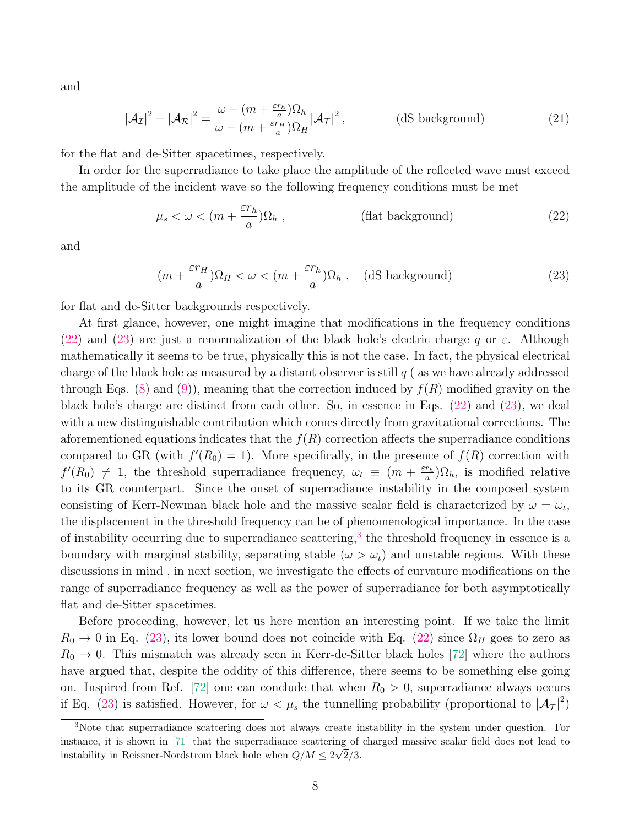and

$$
|\mathcal{A}_{\mathcal{I}}|^2 - |\mathcal{A}_{\mathcal{R}}|^2 = \frac{\omega - (m + \frac{\varepsilon r_h}{a})\Omega_h}{\omega - (m + \frac{\varepsilon r_H}{a})\Omega_H} |\mathcal{A}_{\mathcal{T}}|^2, \qquad \text{(dS background)} \tag{21}
$$

for the flat and de-Sitter spacetimes, respectively.

In order for the superradiance to take place the amplitude of the reflected wave must exceed the amplitude of the incident wave so the following frequency conditions must be met

<span id="page-7-0"></span>
$$
\mu_s < \omega < (m + \frac{\varepsilon r_h}{a}) \Omega_h \tag{22}
$$

and

<span id="page-7-1"></span>
$$
(m + \frac{\varepsilon r_H}{a})\Omega_H < \omega < (m + \frac{\varepsilon r_h}{a})\Omega_h \,, \quad \text{(dS background)}\tag{23}
$$

for flat and de-Sitter backgrounds respectively.

At first glance, however, one might imagine that modifications in the frequency conditions [\(22\)](#page-7-0) and [\(23\)](#page-7-1) are just a renormalization of the black hole's electric charge q or  $\varepsilon$ . Although mathematically it seems to be true, physically this is not the case. In fact, the physical electrical charge of the black hole as measured by a distant observer is still  $q$  (as we have already addressed through Eqs. [\(8\)](#page-4-0) and [\(9\)](#page-4-1)), meaning that the correction induced by  $f(R)$  modified gravity on the black hole's charge are distinct from each other. So, in essence in Eqs. [\(22\)](#page-7-0) and [\(23\)](#page-7-1), we deal with a new distinguishable contribution which comes directly from gravitational corrections. The aforementioned equations indicates that the  $f(R)$  correction affects the superradiance conditions compared to GR (with  $f'(R_0) = 1$ ). More specifically, in the presence of  $f(R)$  correction with  $f'(R_0) \neq 1$ , the threshold superradiance frequency,  $\omega_t \equiv (m + \frac{\varepsilon r_h}{a})$  $\frac{r_h}{a}$ ) $\Omega_h$ , is modified relative to its GR counterpart. Since the onset of superradiance instability in the composed system consisting of Kerr-Newman black hole and the massive scalar field is characterized by  $\omega = \omega_t$ , the displacement in the threshold frequency can be of phenomenological importance. In the case of instability occurring due to superradiance scattering,<sup>[3](#page-7-2)</sup> the threshold frequency in essence is a boundary with marginal stability, separating stable ( $\omega > \omega_t$ ) and unstable regions. With these discussions in mind , in next section, we investigate the effects of curvature modifications on the range of superradiance frequency as well as the power of superradiance for both asymptotically flat and de-Sitter spacetimes.

Before proceeding, however, let us here mention an interesting point. If we take the limit  $R_0 \rightarrow 0$  in Eq. [\(23\)](#page-7-1), its lower bound does not coincide with Eq. [\(22\)](#page-7-0) since  $\Omega_H$  goes to zero as  $R_0 \rightarrow 0$ . This mismatch was already seen in Kerr-de-Sitter black holes [\[72\]](#page-22-18) where the authors have argued that, despite the oddity of this difference, there seems to be something else going on. Inspired from Ref. [\[72\]](#page-22-18) one can conclude that when  $R_0 > 0$ , superradiance always occurs if Eq. [\(23\)](#page-7-1) is satisfied. However, for  $\omega < \mu_s$  the tunnelling probability (proportional to  $|\mathcal{A}_{\mathcal{T}}|^2$ )

<span id="page-7-2"></span><sup>&</sup>lt;sup>3</sup>Note that superradiance scattering does not always create instability in the system under question. For instance, it is shown in [\[71\]](#page-22-19) that the superradiance scattering of charged massive scalar field does not lead to instability in Reissner-Nordstrom black hole when  $Q/M \leq 2\sqrt{2}/3$ .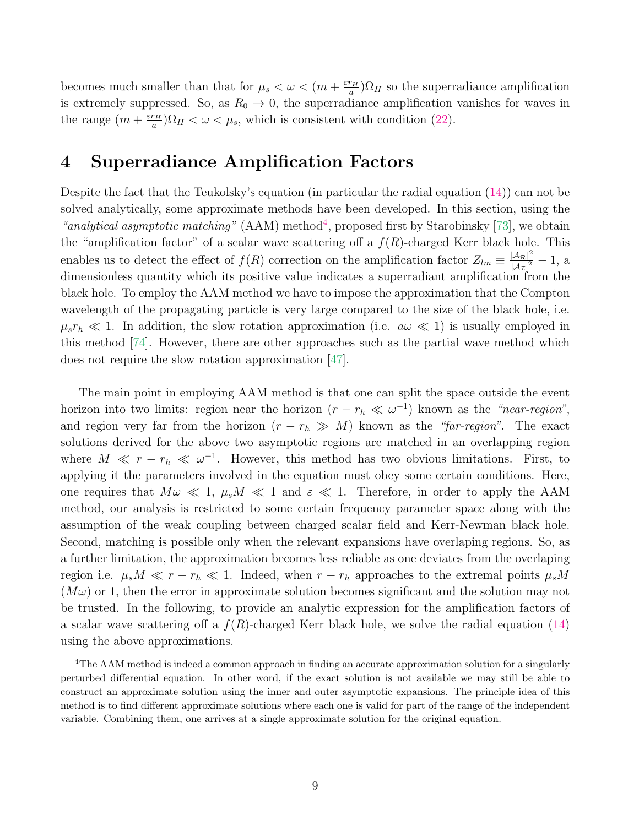becomes much smaller than that for  $\mu_s < \omega < (m + \frac{\varepsilon r_H}{a})$  $\frac{r_H}{a}$ ) $\Omega_H$  so the superradiance amplification is extremely suppressed. So, as  $R_0 \rightarrow 0$ , the superradiance amplification vanishes for waves in the range  $\left(m + \frac{\varepsilon r_H}{q}\right)$  $\frac{r_H}{a}$ ) $\Omega_H < \omega < \mu_s$ , which is consistent with condition [\(22\)](#page-7-0).

## <span id="page-8-0"></span>4 Superradiance Amplification Factors

Despite the fact that the Teukolsky's equation (in particular the radial equation [\(14\)](#page-5-2)) can not be solved analytically, some approximate methods have been developed. In this section, using the "analytical asymptotic matching"  $(AAM)$  method<sup>[4](#page-8-1)</sup>, proposed first by Starobinsky [\[73\]](#page-23-0), we obtain the "amplification factor" of a scalar wave scattering off a  $f(R)$ -charged Kerr black hole. This enables us to detect the effect of  $f(R)$  correction on the amplification factor  $Z_{lm} \equiv \frac{|A_{\mathcal{R}}|^2}{|A_{\mathcal{R}}|^2}$  $\frac{|A_{\mathcal{R}}|^2}{|A_{\mathcal{I}}|^2}-1$ , a dimensionless quantity which its positive value indicates a superradiant amplification from the black hole. To employ the AAM method we have to impose the approximation that the Compton wavelength of the propagating particle is very large compared to the size of the black hole, i.e.  $\mu_s r_h \ll 1$ . In addition, the slow rotation approximation (i.e.  $a\omega \ll 1$ ) is usually employed in this method [\[74\]](#page-23-1). However, there are other approaches such as the partial wave method which does not require the slow rotation approximation [\[47\]](#page-21-0).

The main point in employing AAM method is that one can split the space outside the event horizon into two limits: region near the horizon  $(r - r_h \ll \omega^{-1})$  known as the "near-region", and region very far from the horizon  $(r - r_h \gg M)$  known as the "far-region". The exact solutions derived for the above two asymptotic regions are matched in an overlapping region where  $M \ll r - r_h \ll \omega^{-1}$ . However, this method has two obvious limitations. First, to applying it the parameters involved in the equation must obey some certain conditions. Here, one requires that  $M\omega \ll 1$ ,  $\mu_s M \ll 1$  and  $\varepsilon \ll 1$ . Therefore, in order to apply the AAM method, our analysis is restricted to some certain frequency parameter space along with the assumption of the weak coupling between charged scalar field and Kerr-Newman black hole. Second, matching is possible only when the relevant expansions have overlaping regions. So, as a further limitation, the approximation becomes less reliable as one deviates from the overlaping region i.e.  $\mu_s M \ll r - r_h \ll 1$ . Indeed, when  $r - r_h$  approaches to the extremal points  $\mu_s M$  $(M\omega)$  or 1, then the error in approximate solution becomes significant and the solution may not be trusted. In the following, to provide an analytic expression for the amplification factors of a scalar wave scattering off a  $f(R)$ -charged Kerr black hole, we solve the radial equation [\(14\)](#page-5-2) using the above approximations.

<span id="page-8-1"></span><sup>&</sup>lt;sup>4</sup>The AAM method is indeed a common approach in finding an accurate approximation solution for a singularly perturbed differential equation. In other word, if the exact solution is not available we may still be able to construct an approximate solution using the inner and outer asymptotic expansions. The principle idea of this method is to find different approximate solutions where each one is valid for part of the range of the independent variable. Combining them, one arrives at a single approximate solution for the original equation.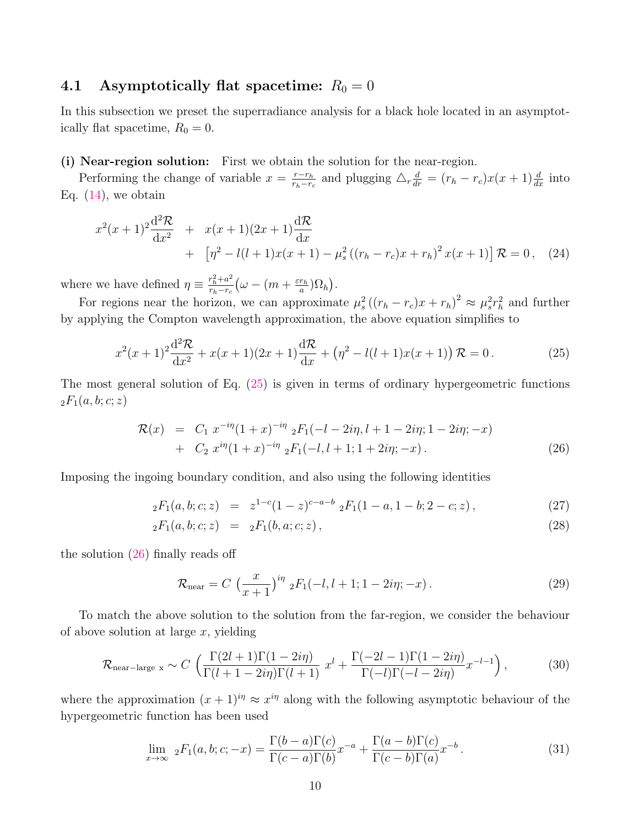### 4.1 Asymptotically flat spacetime:  $R_0 = 0$

In this subsection we preset the superradiance analysis for a black hole located in an asymptotically flat spacetime,  $R_0 = 0$ .

#### (i) Near-region solution: First we obtain the solution for the near-region.

Performing the change of variable  $x = \frac{r - r_h}{r - r_h}$  $\frac{r-r_h}{r_h-r_c}$  and plugging  $\Delta_r \frac{d}{dr} = (r_h - r_c)x(x+1)\frac{d}{dx}$  into Eq.  $(14)$ , we obtain

<span id="page-9-2"></span>
$$
x^{2}(x+1)^{2} \frac{d^{2} \mathcal{R}}{dx^{2}} + x(x+1)(2x+1) \frac{d \mathcal{R}}{dx}
$$
  
+ 
$$
\left[\eta^{2} - l(l+1)x(x+1) - \mu_{s}^{2} ((r_{h} - r_{c})x + r_{h})^{2} x(x+1)\right] \mathcal{R} = 0, \quad (24)
$$

where we have defined  $\eta \equiv \frac{r_h^2 + a^2}{r_h - r}$  $\frac{r_h^2+a^2}{r_h-r_c}\big(\omega-(m+\frac{\varepsilon r_h}{a}% +\varepsilon) \frac{\varepsilon^2}{\varepsilon^2}\big)\frac{d\omega}{2\pi}\bigg), \label{eq:4.14}$  $\frac{r_h}{a}$ ) $\Omega_h$ ).

For regions near the horizon, we can approximate  $\mu_s^2((r_h - r_c)x + r_h)^2 \approx \mu_s^2 r_h^2$  and further by applying the Compton wavelength approximation, the above equation simplifies to

<span id="page-9-0"></span>
$$
x^{2}(x+1)^{2}\frac{d^{2}\mathcal{R}}{dx^{2}} + x(x+1)(2x+1)\frac{d\mathcal{R}}{dx} + (\eta^{2} - l(l+1)x(x+1))\mathcal{R} = 0.
$$
 (25)

The most general solution of Eq. [\(25\)](#page-9-0) is given in terms of ordinary hypergeometric functions  ${}_2F_1(a, b; c; z)$ 

<span id="page-9-1"></span>
$$
\mathcal{R}(x) = C_1 x^{-i\eta} (1+x)^{-i\eta} {}_2F_1(-l-2i\eta, l+1-2i\eta; 1-2i\eta; -x) \n+ C_2 x^{i\eta} (1+x)^{-i\eta} {}_2F_1(-l, l+1; 1+2i\eta; -x).
$$
\n(26)

Imposing the ingoing boundary condition, and also using the following identities

$$
{}_2F_1(a,b;c;z) = z^{1-c}(1-z)^{c-a-b} {}_2F_1(1-a,1-b;2-c;z), \qquad (27)
$$

$$
{}_2F_1(a, b; c; z) = {}_2F_1(b, a; c; z), \qquad (28)
$$

the solution [\(26\)](#page-9-1) finally reads off

$$
\mathcal{R}_{\text{near}} = C \left( \frac{x}{x+1} \right)^{i\eta} {}_{2}F_{1}(-l, l+1; 1-2i\eta; -x) \,. \tag{29}
$$

To match the above solution to the solution from the far-region, we consider the behaviour of above solution at large  $x$ , yielding

<span id="page-9-3"></span>
$$
\mathcal{R}_{\text{near-large x}} \sim C \left( \frac{\Gamma(2l+1)\Gamma(1-2i\eta)}{\Gamma(l+1-2i\eta)\Gamma(l+1)} x^l + \frac{\Gamma(-2l-1)\Gamma(1-2i\eta)}{\Gamma(-l)\Gamma(-l-2i\eta)} x^{-l-1} \right),\tag{30}
$$

where the approximation  $(x + 1)^{i\eta} \approx x^{i\eta}$  along with the following asymptotic behaviour of the hypergeometric function has been used

$$
\lim_{x \to \infty} {}_2F_1(a, b; c; -x) = \frac{\Gamma(b-a)\Gamma(c)}{\Gamma(c-a)\Gamma(b)} x^{-a} + \frac{\Gamma(a-b)\Gamma(c)}{\Gamma(c-b)\Gamma(a)} x^{-b}.
$$
\n(31)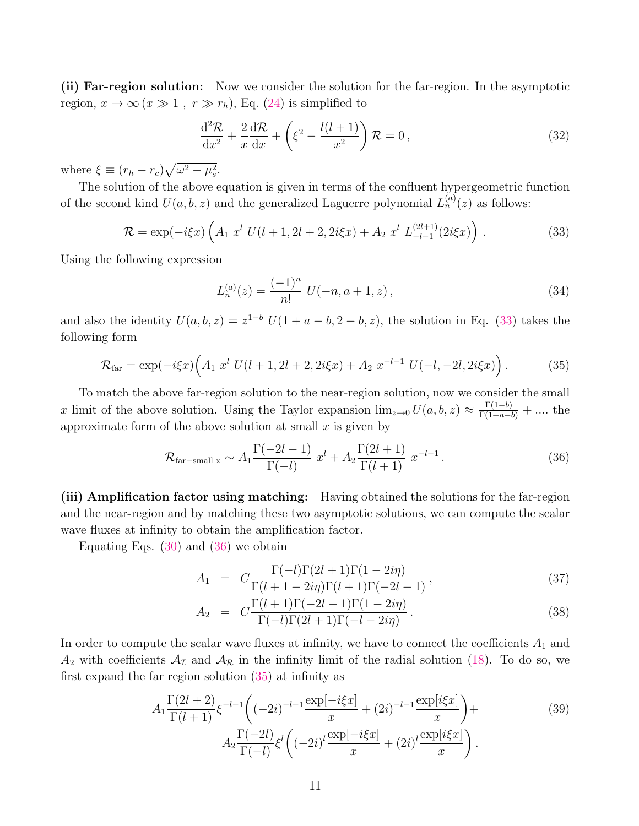(ii) Far-region solution: Now we consider the solution for the far-region. In the asymptotic region,  $x \to \infty$   $(x \gg 1, r \gg r_h)$ , Eq. [\(24\)](#page-9-2) is simplified to

$$
\frac{\mathrm{d}^2 \mathcal{R}}{\mathrm{d}x^2} + \frac{2}{x} \frac{\mathrm{d} \mathcal{R}}{\mathrm{d}x} + \left(\xi^2 - \frac{l(l+1)}{x^2}\right) \mathcal{R} = 0,\tag{32}
$$

where  $\xi \equiv (r_h - r_c) \sqrt{\omega^2 - \mu_s^2}$ .

The solution of the above equation is given in terms of the confluent hypergeometric function of the second kind  $U(a, b, z)$  and the generalized Laguerre polynomial  $L_n^{(a)}(z)$  as follows:

<span id="page-10-0"></span>
$$
\mathcal{R} = \exp(-i\xi x) \left( A_1 \ x^l \ U(l+1, 2l+2, 2i\xi x) + A_2 \ x^l \ L_{-l-1}^{(2l+1)}(2i\xi x) \right) \,. \tag{33}
$$

Using the following expression

$$
L_n^{(a)}(z) = \frac{(-1)^n}{n!} U(-n, a+1, z), \tag{34}
$$

and also the identity  $U(a, b, z) = z^{1-b} U(1 + a - b, 2 - b, z)$ , the solution in Eq. [\(33\)](#page-10-0) takes the following form

<span id="page-10-2"></span>
$$
\mathcal{R}_{\text{far}} = \exp(-i\xi x) \Big( A_1 \ x^l \ U(l+1, 2l+2, 2i\xi x) + A_2 \ x^{-l-1} \ U(-l, -2l, 2i\xi x) \Big) \,. \tag{35}
$$

To match the above far-region solution to the near-region solution, now we consider the small x limit of the above solution. Using the Taylor expansion  $\lim_{z\to 0} U(a, b, z) \approx \frac{\Gamma(1-b)}{\Gamma(1+a-b)} + \dots$  the approximate form of the above solution at small  $x$  is given by

<span id="page-10-1"></span>
$$
\mathcal{R}_{\text{far--small x}} \sim A_1 \frac{\Gamma(-2l-1)}{\Gamma(-l)} x^l + A_2 \frac{\Gamma(2l+1)}{\Gamma(l+1)} x^{-l-1}.
$$
 (36)

(iii) Amplification factor using matching: Having obtained the solutions for the far-region and the near-region and by matching these two asymptotic solutions, we can compute the scalar wave fluxes at infinity to obtain the amplification factor.

Equating Eqs.  $(30)$  and  $(36)$  we obtain

$$
A_1 = C \frac{\Gamma(-l)\Gamma(2l+1)\Gamma(1-2i\eta)}{\Gamma(l+1-2i\eta)\Gamma(l+1)\Gamma(-2l-1)},
$$
\n(37)

$$
A_2 = C \frac{\Gamma(l+1)\Gamma(-2l-1)\Gamma(1-2i\eta)}{\Gamma(-l)\Gamma(2l+1)\Gamma(-l-2i\eta)}.
$$
\n(38)

In order to compute the scalar wave fluxes at infinity, we have to connect the coefficients  $A_1$  and  $A_2$  with coefficients  $A_{\mathcal{I}}$  and  $A_{\mathcal{R}}$  in the infinity limit of the radial solution [\(18\)](#page-6-2). To do so, we first expand the far region solution [\(35\)](#page-10-2) at infinity as

$$
A_{1} \frac{\Gamma(2l+2)}{\Gamma(l+1)} \xi^{-l-1} \left( (-2i)^{-l-1} \frac{\exp[-i\xi x]}{x} + (2i)^{-l-1} \frac{\exp[i\xi x]}{x} \right) + A_{2} \frac{\Gamma(-2l)}{\Gamma(-l)} \xi^{l} \left( (-2i)^{l} \frac{\exp[-i\xi x]}{x} + (2i)^{l} \frac{\exp[i\xi x]}{x} \right).
$$
 (39)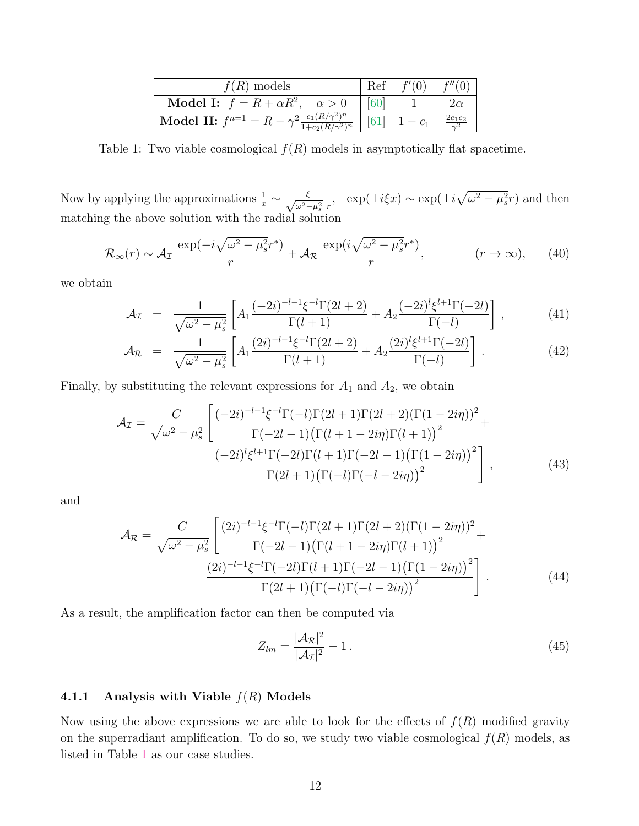| $f(R)$ models                                                                                                                           | Ref                |                            |
|-----------------------------------------------------------------------------------------------------------------------------------------|--------------------|----------------------------|
| <b>Model I:</b> $f = R + \alpha R^2$ , $\alpha > 0$                                                                                     |                    | $2\alpha$                  |
| $\bigg\  \operatorname{\bf{Model}} \ \mathbf{II:} \ f^{n=1} = R - \gamma^2 \frac{c_1 (R/\gamma^2)^n}{1 + c_2 (R/\gamma^2)^n} \ \bigg\ $ | $\lceil 61 \rceil$ | $\frac{2c_1c_2}{\gamma^2}$ |

<span id="page-11-0"></span>Table 1: Two viable cosmological  $f(R)$  models in asymptotically flat spacetime.

Now by applying the approximations  $\frac{1}{x} \sim \frac{\xi}{\sqrt{\omega^2 - \xi}}$  $\frac{\xi}{\omega^2 - \mu_s^2 r}$ , exp( $\pm i \xi x$ ) ~ exp( $\pm i \sqrt{\omega^2 - \mu_s^2} r$ ) and then matching the above solution with the radial solution

$$
\mathcal{R}_{\infty}(r) \sim \mathcal{A}_{\mathcal{I}} \frac{\exp(-i\sqrt{\omega^2 - \mu_s^2}r^*)}{r} + \mathcal{A}_{\mathcal{R}} \frac{\exp(i\sqrt{\omega^2 - \mu_s^2}r^*)}{r}, \qquad (r \to \infty), \qquad (40)
$$

we obtain

$$
\mathcal{A}_{\mathcal{I}} = \frac{1}{\sqrt{\omega^2 - \mu_s^2}} \left[ A_1 \frac{(-2i)^{-l-1} \xi^{-l} \Gamma(2l+2)}{\Gamma(l+1)} + A_2 \frac{(-2i)^l \xi^{l+1} \Gamma(-2l)}{\Gamma(-l)} \right],\tag{41}
$$

$$
\mathcal{A}_{\mathcal{R}} = \frac{1}{\sqrt{\omega^2 - \mu_s^2}} \left[ A_1 \frac{(2i)^{-l-1} \xi^{-l} \Gamma(2l+2)}{\Gamma(l+1)} + A_2 \frac{(2i)^l \xi^{l+1} \Gamma(-2l)}{\Gamma(-l)} \right]. \tag{42}
$$

Finally, by substituting the relevant expressions for  $A_1$  and  $A_2$ , we obtain

$$
\mathcal{A}_{\mathcal{I}} = \frac{C}{\sqrt{\omega^2 - \mu_s^2}} \left[ \frac{(-2i)^{-l-1} \xi^{-l} \Gamma(-l) \Gamma(2l+1) \Gamma(2l+2) (\Gamma(1-2i\eta))^2}{\Gamma(-2l-1) (\Gamma(l+1-2i\eta) \Gamma(l+1))^{2}} + \frac{(-2i)^{l} \xi^{l+1} \Gamma(-2l) \Gamma(l+1) \Gamma(-2l-1) (\Gamma(1-2i\eta))^{2}}{\Gamma(2l+1) (\Gamma(-l) \Gamma(-l-2i\eta))^{2}} \right],
$$
\n(43)

and

$$
\mathcal{A}_{\mathcal{R}} = \frac{C}{\sqrt{\omega^2 - \mu_s^2}} \left[ \frac{(2i)^{-l-1}\xi^{-l}\Gamma(-l)\Gamma(2l+1)\Gamma(2l+2)(\Gamma(1-2i\eta))^2}{\Gamma(-2l-1)\left(\Gamma(l+1-2i\eta)\Gamma(l+1)\right)^2} + \frac{(2i)^{-l-1}\xi^{-l}\Gamma(-2l)\Gamma(l+1)\Gamma(-2l-1)\left(\Gamma(1-2i\eta)\right)^2}{\Gamma(2l+1)\left(\Gamma(-l)\Gamma(-l-2i\eta)\right)^2} \right].
$$
\n(44)

As a result, the amplification factor can then be computed via

<span id="page-11-1"></span>
$$
Z_{lm} = \frac{|\mathcal{A}_{\mathcal{R}}|^2}{|\mathcal{A}_{\mathcal{I}}|^2} - 1. \tag{45}
$$

#### 4.1.1 Analysis with Viable  $f(R)$  Models

Now using the above expressions we are able to look for the effects of  $f(R)$  modified gravity on the superradiant amplification. To do so, we study two viable cosmological  $f(R)$  models, as listed in Table [1](#page-11-0) as our case studies.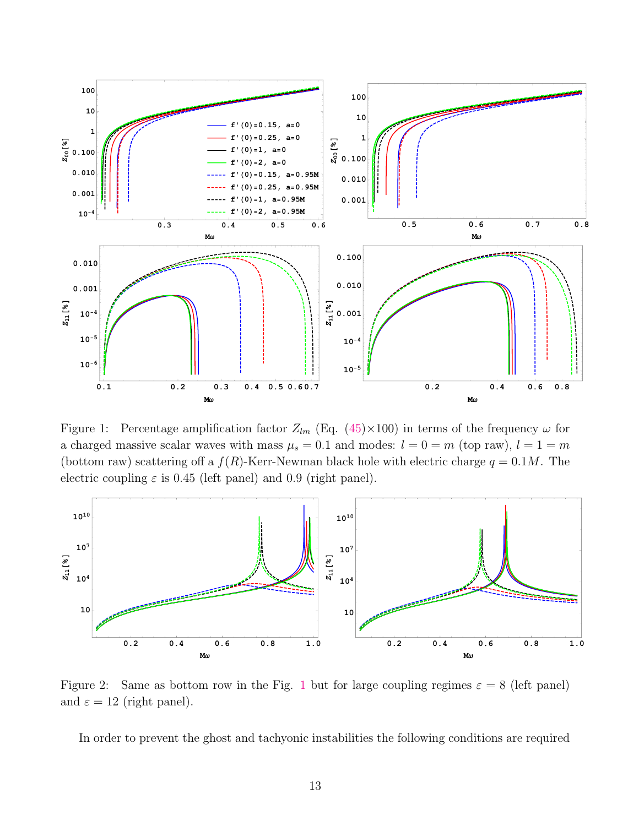

<span id="page-12-0"></span>Figure 1: Percentage amplification factor  $Z_{lm}$  (Eq. [\(45\)](#page-11-1)×100) in terms of the frequency  $\omega$  for a charged massive scalar waves with mass  $\mu_s = 0.1$  and modes:  $l = 0 = m$  (top raw),  $l = 1 = m$ (bottom raw) scattering off a  $f(R)$ -Kerr-Newman black hole with electric charge  $q = 0.1M$ . The electric coupling  $\varepsilon$  is 0.45 (left panel) and 0.9 (right panel).



<span id="page-12-1"></span>Figure 2: Same as bottom row in the Fig. [1](#page-12-0) but for large coupling regimes  $\varepsilon = 8$  (left panel) and  $\varepsilon = 12$  (right panel).

In order to prevent the ghost and tachyonic instabilities the following conditions are required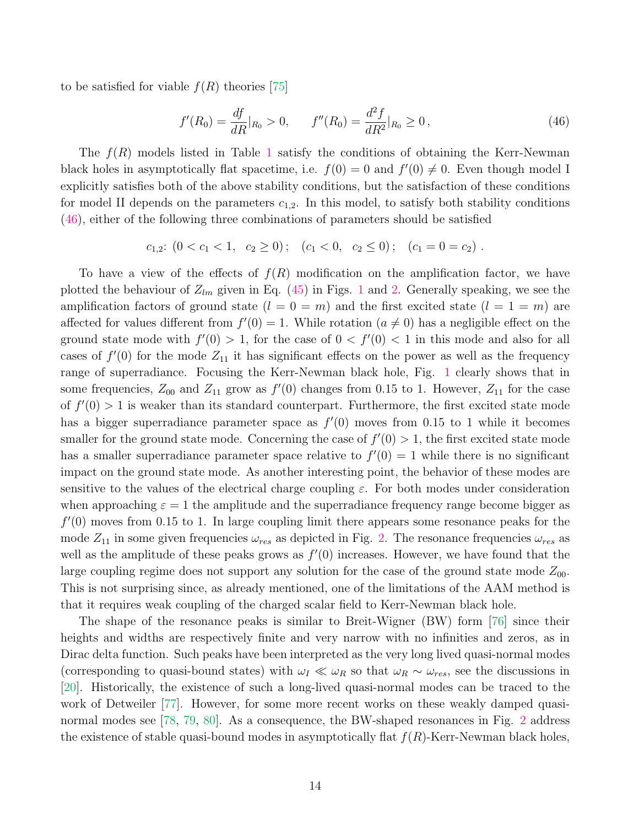to be satisfied for viable  $f(R)$  theories [\[75\]](#page-23-2)

<span id="page-13-0"></span>
$$
f'(R_0) = \frac{df}{dR}|_{R_0} > 0, \qquad f''(R_0) = \frac{d^2f}{dR^2}|_{R_0} \ge 0,
$$
\n(46)

The  $f(R)$  models listed in Table [1](#page-11-0) satisfy the conditions of obtaining the Kerr-Newman black holes in asymptotically flat spacetime, i.e.  $f(0) = 0$  and  $f'(0) \neq 0$ . Even though model I explicitly satisfies both of the above stability conditions, but the satisfaction of these conditions for model II depends on the parameters  $c_{1,2}$ . In this model, to satisfy both stability conditions [\(46\)](#page-13-0), either of the following three combinations of parameters should be satisfied

 $c_{1,2}:$   $(0 < c_1 < 1, c_2 \ge 0);$   $(c_1 < 0, c_2 \le 0);$   $(c_1 = 0 = c_2).$ 

To have a view of the effects of  $f(R)$  modification on the amplification factor, we have plotted the behaviour of  $Z_{lm}$  given in Eq. [\(45\)](#page-11-1) in Figs. [1](#page-12-0) and [2.](#page-12-1) Generally speaking, we see the amplification factors of ground state  $(l = 0 = m)$  and the first excited state  $(l = 1 = m)$  are affected for values different from  $f'(0) = 1$ . While rotation  $(a \neq 0)$  has a negligible effect on the ground state mode with  $f'(0) > 1$ , for the case of  $0 < f'(0) < 1$  in this mode and also for all cases of  $f'(0)$  for the mode  $Z_{11}$  it has significant effects on the power as well as the frequency range of superradiance. Focusing the Kerr-Newman black hole, Fig. [1](#page-12-0) clearly shows that in some frequencies,  $Z_{00}$  and  $Z_{11}$  grow as  $f'(0)$  changes from 0.15 to 1. However,  $Z_{11}$  for the case of  $f'(0) > 1$  is weaker than its standard counterpart. Furthermore, the first excited state mode has a bigger superradiance parameter space as  $f'(0)$  moves from 0.15 to 1 while it becomes smaller for the ground state mode. Concerning the case of  $f'(0) > 1$ , the first excited state mode has a smaller superradiance parameter space relative to  $f'(0) = 1$  while there is no significant impact on the ground state mode. As another interesting point, the behavior of these modes are sensitive to the values of the electrical charge coupling  $\varepsilon$ . For both modes under consideration when approaching  $\varepsilon = 1$  the amplitude and the superradiance frequency range become bigger as  $f'(0)$  moves from 0.15 to 1. In large coupling limit there appears some resonance peaks for the mode  $Z_{11}$  in some given frequencies  $\omega_{res}$  as depicted in Fig. [2.](#page-12-1) The resonance frequencies  $\omega_{res}$  as well as the amplitude of these peaks grows as  $f'(0)$  increases. However, we have found that the large coupling regime does not support any solution for the case of the ground state mode  $Z_{00}$ . This is not surprising since, as already mentioned, one of the limitations of the AAM method is that it requires weak coupling of the charged scalar field to Kerr-Newman black hole.

The shape of the resonance peaks is similar to Breit-Wigner (BW) form [\[76\]](#page-23-3) since their heights and widths are respectively finite and very narrow with no infinities and zeros, as in Dirac delta function. Such peaks have been interpreted as the very long lived quasi-normal modes (corresponding to quasi-bound states) with  $\omega_I \ll \omega_R$  so that  $\omega_R \sim \omega_{res}$ , see the discussions in [\[20\]](#page-20-4). Historically, the existence of such a long-lived quasi-normal modes can be traced to the work of Detweiler [\[77\]](#page-23-4). However, for some more recent works on these weakly damped quasi-normal modes see [\[78,](#page-23-5) [79,](#page-23-6) [80\]](#page-23-7). As a consequence, the BW-shaped resonances in Fig. [2](#page-12-1) address the existence of stable quasi-bound modes in asymptotically flat  $f(R)$ -Kerr-Newman black holes,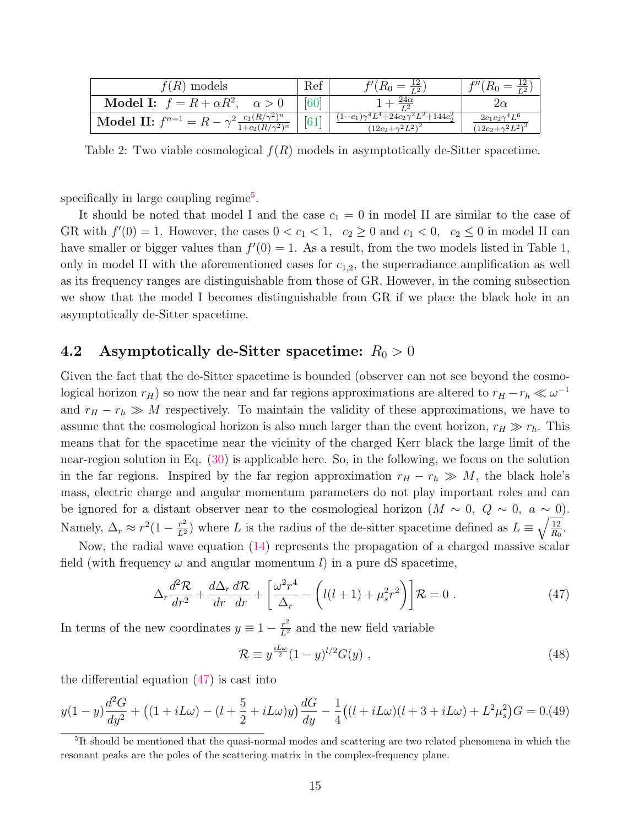| $(R)$ models                                                                                                                 | Ref                | $=\frac{12}{12}$                                                               | $\overline{T2}$      |
|------------------------------------------------------------------------------------------------------------------------------|--------------------|--------------------------------------------------------------------------------|----------------------|
| Model I: $f = R + \alpha R^2$ ,                                                                                              | [60]               | $\frac{24\alpha}{2}$<br>$\overline{r}$                                         |                      |
| Model II: $f^{n=1} = R - \gamma^2 \frac{c_1 (R/\gamma^2)^n}{(R/\gamma^2)^n}$<br>$\frac{1+c_2(R/\gamma^2)^n}{(R/\gamma^2)^n}$ | $\lceil 61 \rceil$ | $1-c_1)\gamma^4 L^4 + 24c_2\gamma^2 L^2 + 144c_2^2$<br>$(12c_2+\gamma^2L^2)^2$ | $2c_1c_2\gamma^4L^6$ |

<span id="page-14-2"></span>Table 2: Two viable cosmological  $f(R)$  models in asymptotically de-Sitter spacetime.

specifically in large coupling regime<sup>[5](#page-14-0)</sup>.

It should be noted that model I and the case  $c_1 = 0$  in model II are similar to the case of GR with  $f'(0) = 1$ . However, the cases  $0 < c_1 < 1$ ,  $c_2 \ge 0$  and  $c_1 < 0$ ,  $c_2 \le 0$  in model II can have smaller or bigger values than  $f'(0) = 1$ . As a result, from the two models listed in Table [1,](#page-11-0) only in model II with the aforementioned cases for  $c_{1,2}$ , the superradiance amplification as well as its frequency ranges are distinguishable from those of GR. However, in the coming subsection we show that the model I becomes distinguishable from GR if we place the black hole in an asymptotically de-Sitter spacetime.

### 4.2 Asymptotically de-Sitter spacetime:  $R_0 > 0$

Given the fact that the de-Sitter spacetime is bounded (observer can not see beyond the cosmological horizon  $r_H$ ) so now the near and far regions approximations are altered to  $r_H - r_h \ll \omega^{-1}$ and  $r_H - r_h \gg M$  respectively. To maintain the validity of these approximations, we have to assume that the cosmological horizon is also much larger than the event horizon,  $r_H \gg r_h$ . This means that for the spacetime near the vicinity of the charged Kerr black the large limit of the near-region solution in Eq. [\(30\)](#page-9-3) is applicable here. So, in the following, we focus on the solution in the far regions. Inspired by the far region approximation  $r_H - r_h \gg M$ , the black hole's mass, electric charge and angular momentum parameters do not play important roles and can be ignored for a distant observer near to the cosmological horizon  $(M \sim 0, Q \sim 0, a \sim 0)$ . Namely,  $\Delta_r \approx r^2(1-\frac{r^2}{L^2})$  where L is the radius of the de-sitter spacetime defined as  $L \equiv \sqrt{\frac{12}{R_0}}$  $\frac{12}{R_0}$ .

Now, the radial wave equation [\(14\)](#page-5-2) represents the propagation of a charged massive scalar field (with frequency  $\omega$  and angular momentum l) in a pure dS spacetime,

<span id="page-14-1"></span>
$$
\Delta_r \frac{d^2 \mathcal{R}}{dr^2} + \frac{d \Delta_r}{dr} \frac{d \mathcal{R}}{dr} + \left[ \frac{\omega^2 r^4}{\Delta_r} - \left( l(l+1) + \mu_s^2 r^2 \right) \right] \mathcal{R} = 0 \tag{47}
$$

In terms of the new coordinates  $y \equiv 1 - \frac{r^2}{L^2}$  and the new field variable

$$
\mathcal{R} \equiv y^{\frac{iL\omega}{2}}(1-y)^{l/2}G(y) , \qquad (48)
$$

the differential equation [\(47\)](#page-14-1) is cast into

$$
y(1-y)\frac{d^2G}{dy^2} + ((1+iL\omega) - (l+\frac{5}{2}+iL\omega)y)\frac{dG}{dy} - \frac{1}{4}((l+iL\omega)(l+3+iL\omega) + L^2\mu_s^2)G = 0.49
$$

<span id="page-14-0"></span><sup>&</sup>lt;sup>5</sup>It should be mentioned that the quasi-normal modes and scattering are two related phenomena in which the resonant peaks are the poles of the scattering matrix in the complex-frequency plane.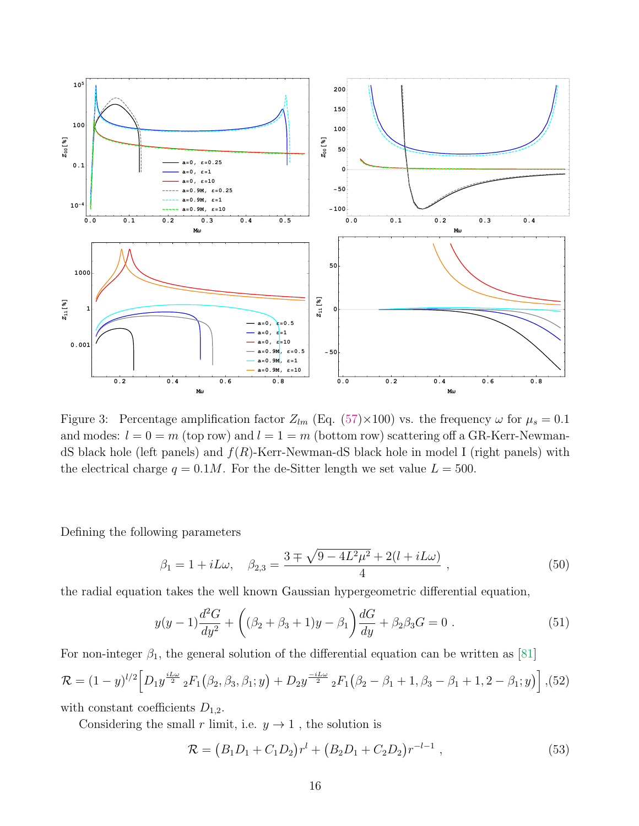

<span id="page-15-0"></span>Figure 3: Percentage amplification factor  $Z_{lm}$  (Eq. [\(57\)](#page-17-1)×100) vs. the frequency  $\omega$  for  $\mu_s = 0.1$ and modes:  $l = 0 = m$  (top row) and  $l = 1 = m$  (bottom row) scattering off a GR-Kerr-NewmandS black hole (left panels) and  $f(R)$ -Kerr-Newman-dS black hole in model I (right panels) with the electrical charge  $q = 0.1M$ . For the de-Sitter length we set value  $L = 500$ .

Defining the following parameters

$$
\beta_1 = 1 + iL\omega, \quad \beta_{2,3} = \frac{3 \pm \sqrt{9 - 4L^2\mu^2} + 2(l + iL\omega)}{4} , \tag{50}
$$

the radial equation takes the well known Gaussian hypergeometric differential equation,

$$
y(y-1)\frac{d^2G}{dy^2} + ((\beta_2 + \beta_3 + 1)y - \beta_1)\frac{dG}{dy} + \beta_2\beta_3G = 0.
$$
 (51)

For non-integer  $\beta_1$ , the general solution of the differential equation can be written as [\[81\]](#page-23-8)

<span id="page-15-2"></span>
$$
\mathcal{R} = (1 - y)^{l/2} \Big[ D_1 y^{\frac{iL\omega}{2}} {}_2F_1(\beta_2, \beta_3, \beta_1; y) + D_2 y^{\frac{-iL\omega}{2}} {}_2F_1(\beta_2 - \beta_1 + 1, \beta_3 - \beta_1 + 1, 2 - \beta_1; y) \Big], (52)
$$

with constant coefficients  $D_{1,2}$ .

Considering the small r limit, i.e.  $y \to 1$ , the solution is

<span id="page-15-1"></span>
$$
\mathcal{R} = (B_1 D_1 + C_1 D_2) r^l + (B_2 D_1 + C_2 D_2) r^{-l-1} , \qquad (53)
$$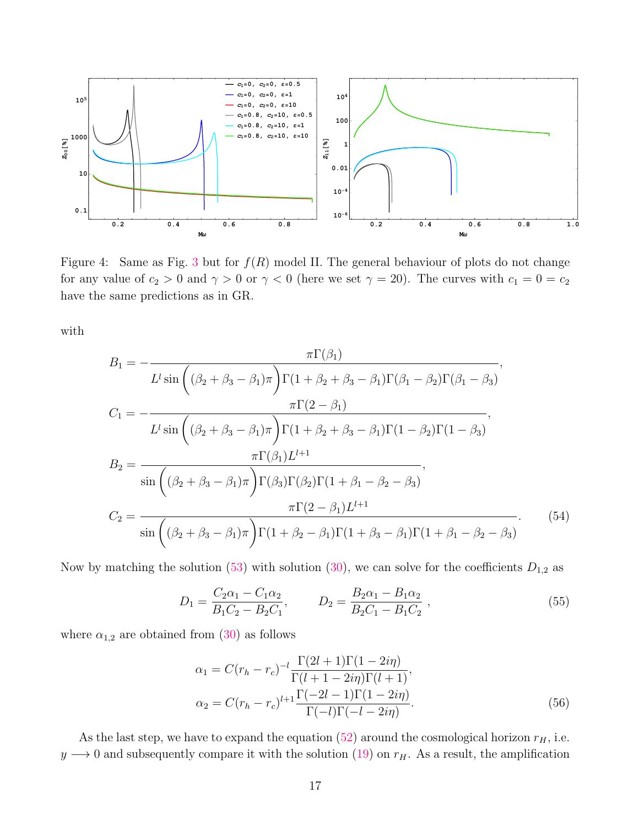

<span id="page-16-0"></span>Figure 4: Same as Fig. [3](#page-15-0) but for  $f(R)$  model II. The general behaviour of plots do not change for any value of  $c_2 > 0$  and  $\gamma > 0$  or  $\gamma < 0$  (here we set  $\gamma = 20$ ). The curves with  $c_1 = 0 = c_2$ have the same predictions as in GR.

with

$$
B_{1} = -\frac{\pi \Gamma(\beta_{1})}{L^{l} \sin\left((\beta_{2} + \beta_{3} - \beta_{1})\pi\right) \Gamma(1 + \beta_{2} + \beta_{3} - \beta_{1}) \Gamma(\beta_{1} - \beta_{2}) \Gamma(\beta_{1} - \beta_{3})},
$$
  
\n
$$
C_{1} = -\frac{\pi \Gamma(2 - \beta_{1})}{L^{l} \sin\left((\beta_{2} + \beta_{3} - \beta_{1})\pi\right) \Gamma(1 + \beta_{2} + \beta_{3} - \beta_{1}) \Gamma(1 - \beta_{2}) \Gamma(1 - \beta_{3})},
$$
  
\n
$$
B_{2} = \frac{\pi \Gamma(\beta_{1}) L^{l+1}}{\sin\left((\beta_{2} + \beta_{3} - \beta_{1})\pi\right) \Gamma(\beta_{3}) \Gamma(\beta_{2}) \Gamma(1 + \beta_{1} - \beta_{2} - \beta_{3})},
$$
  
\n
$$
C_{2} = \frac{\pi \Gamma(2 - \beta_{1}) L^{l+1}}{\sin\left((\beta_{2} + \beta_{3} - \beta_{1})\pi\right) \Gamma(1 + \beta_{2} - \beta_{1}) \Gamma(1 + \beta_{3} - \beta_{1}) \Gamma(1 + \beta_{1} - \beta_{2} - \beta_{3})}.
$$
  
\n(54)

Now by matching the solution [\(53\)](#page-15-1) with solution [\(30\)](#page-9-3), we can solve for the coefficients  $D_{1,2}$  as

$$
D_1 = \frac{C_2 \alpha_1 - C_1 \alpha_2}{B_1 C_2 - B_2 C_1}, \qquad D_2 = \frac{B_2 \alpha_1 - B_1 \alpha_2}{B_2 C_1 - B_1 C_2}, \qquad (55)
$$

where  $\alpha_{1,2}$  are obtained from [\(30\)](#page-9-3) as follows

$$
\alpha_1 = C(r_h - r_c)^{-l} \frac{\Gamma(2l+1)\Gamma(1-2i\eta)}{\Gamma(l+1-2i\eta)\Gamma(l+1)},
$$
  
\n
$$
\alpha_2 = C(r_h - r_c)^{l+1} \frac{\Gamma(-2l-1)\Gamma(1-2i\eta)}{\Gamma(-l)\Gamma(-l-2i\eta)}.
$$
\n(56)

As the last step, we have to expand the equation [\(52\)](#page-15-2) around the cosmological horizon  $r_H$ , i.e.  $y \rightarrow 0$  and subsequently compare it with the solution [\(19\)](#page-6-3) on  $r_H$ . As a result, the amplification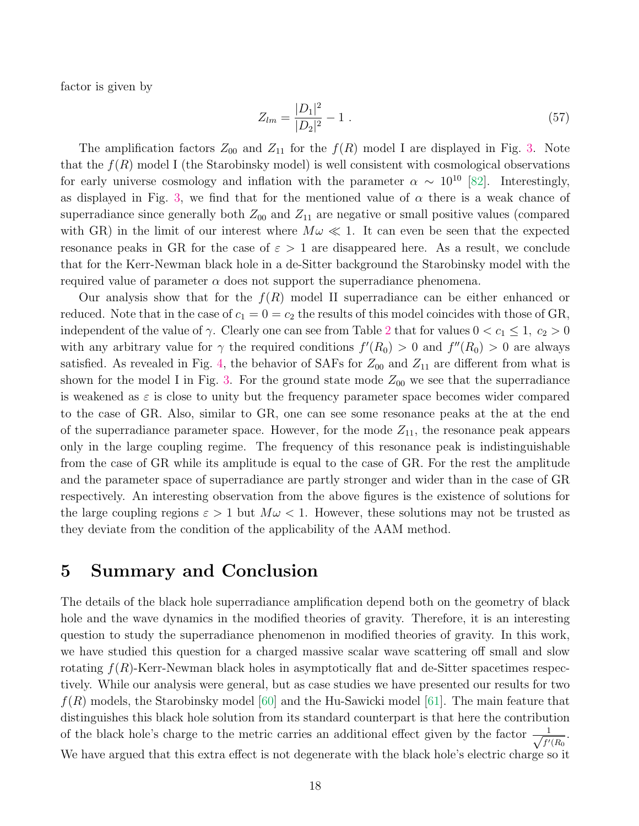factor is given by

<span id="page-17-1"></span>
$$
Z_{lm} = \frac{|D_1|^2}{|D_2|^2} - 1 \tag{57}
$$

The amplification factors  $Z_{00}$  and  $Z_{11}$  for the  $f(R)$  model I are displayed in Fig. [3.](#page-15-0) Note that the  $f(R)$  model I (the Starobinsky model) is well consistent with cosmological observations for early universe cosmology and inflation with the parameter  $\alpha \sim 10^{10}$  [\[82\]](#page-23-9). Interestingly, as displayed in Fig. [3,](#page-15-0) we find that for the mentioned value of  $\alpha$  there is a weak chance of superradiance since generally both  $Z_{00}$  and  $Z_{11}$  are negative or small positive values (compared with GR) in the limit of our interest where  $M\omega \ll 1$ . It can even be seen that the expected resonance peaks in GR for the case of  $\varepsilon > 1$  are disappeared here. As a result, we conclude that for the Kerr-Newman black hole in a de-Sitter background the Starobinsky model with the required value of parameter  $\alpha$  does not support the superradiance phenomena.

Our analysis show that for the  $f(R)$  model II superradiance can be either enhanced or reduced. Note that in the case of  $c_1 = 0 = c_2$  the results of this model coincides with those of GR, independent of the value of  $\gamma$ . Clearly one can see from Table [2](#page-14-2) that for values  $0 < c_1 \leq 1$ ,  $c_2 > 0$ with any arbitrary value for  $\gamma$  the required conditions  $f'(R_0) > 0$  and  $f''(R_0) > 0$  are always satisfied. As revealed in Fig. [4,](#page-16-0) the behavior of SAFs for  $Z_{00}$  and  $Z_{11}$  are different from what is shown for the model I in Fig. [3.](#page-15-0) For the ground state mode  $Z_{00}$  we see that the superradiance is weakened as  $\varepsilon$  is close to unity but the frequency parameter space becomes wider compared to the case of GR. Also, similar to GR, one can see some resonance peaks at the at the end of the superradiance parameter space. However, for the mode  $Z_{11}$ , the resonance peak appears only in the large coupling regime. The frequency of this resonance peak is indistinguishable from the case of GR while its amplitude is equal to the case of GR. For the rest the amplitude and the parameter space of superradiance are partly stronger and wider than in the case of GR respectively. An interesting observation from the above figures is the existence of solutions for the large coupling regions  $\varepsilon > 1$  but  $M\omega < 1$ . However, these solutions may not be trusted as they deviate from the condition of the applicability of the AAM method.

## <span id="page-17-0"></span>5 Summary and Conclusion

The details of the black hole superradiance amplification depend both on the geometry of black hole and the wave dynamics in the modified theories of gravity. Therefore, it is an interesting question to study the superradiance phenomenon in modified theories of gravity. In this work, we have studied this question for a charged massive scalar wave scattering off small and slow rotating  $f(R)$ -Kerr-Newman black holes in asymptotically flat and de-Sitter spacetimes respectively. While our analysis were general, but as case studies we have presented our results for two  $f(R)$  models, the Starobinsky model [\[60\]](#page-22-7) and the Hu-Sawicki model [\[61\]](#page-22-8). The main feature that distinguishes this black hole solution from its standard counterpart is that here the contribution of the black hole's charge to the metric carries an additional effect given by the factor  $\frac{1}{\sqrt{1}}$  $\frac{1}{f'(R_0)}$ . We have argued that this extra effect is not degenerate with the black hole's electric charge so it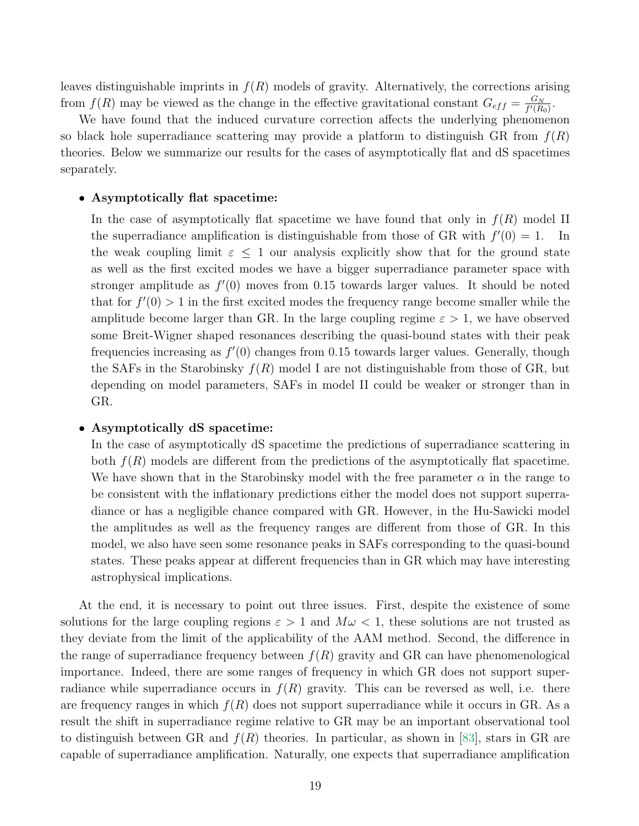leaves distinguishable imprints in  $f(R)$  models of gravity. Alternatively, the corrections arising from  $f(R)$  may be viewed as the change in the effective gravitational constant  $G_{eff} = \frac{G_N}{f'(R)}$  $\frac{G_N}{f'(R_0)}$  .

We have found that the induced curvature correction affects the underlying phenomenon so black hole superradiance scattering may provide a platform to distinguish GR from  $f(R)$ theories. Below we summarize our results for the cases of asymptotically flat and dS spacetimes separately.

#### • Asymptotically flat spacetime:

In the case of asymptotically flat spacetime we have found that only in  $f(R)$  model II the superradiance amplification is distinguishable from those of GR with  $f'(0) = 1$ . In the weak coupling limit  $\varepsilon \leq 1$  our analysis explicitly show that for the ground state as well as the first excited modes we have a bigger superradiance parameter space with stronger amplitude as  $f'(0)$  moves from 0.15 towards larger values. It should be noted that for  $f'(0) > 1$  in the first excited modes the frequency range become smaller while the amplitude become larger than GR. In the large coupling regime  $\varepsilon > 1$ , we have observed some Breit-Wigner shaped resonances describing the quasi-bound states with their peak frequencies increasing as  $f'(0)$  changes from 0.15 towards larger values. Generally, though the SAFs in the Starobinsky  $f(R)$  model I are not distinguishable from those of GR, but depending on model parameters, SAFs in model II could be weaker or stronger than in GR.

#### • Asymptotically dS spacetime:

In the case of asymptotically dS spacetime the predictions of superradiance scattering in both  $f(R)$  models are different from the predictions of the asymptotically flat spacetime. We have shown that in the Starobinsky model with the free parameter  $\alpha$  in the range to be consistent with the inflationary predictions either the model does not support superradiance or has a negligible chance compared with GR. However, in the Hu-Sawicki model the amplitudes as well as the frequency ranges are different from those of GR. In this model, we also have seen some resonance peaks in SAFs corresponding to the quasi-bound states. These peaks appear at different frequencies than in GR which may have interesting astrophysical implications.

At the end, it is necessary to point out three issues. First, despite the existence of some solutions for the large coupling regions  $\varepsilon > 1$  and  $M\omega < 1$ , these solutions are not trusted as they deviate from the limit of the applicability of the AAM method. Second, the difference in the range of superradiance frequency between  $f(R)$  gravity and GR can have phenomenological importance. Indeed, there are some ranges of frequency in which GR does not support superradiance while superradiance occurs in  $f(R)$  gravity. This can be reversed as well, i.e. there are frequency ranges in which  $f(R)$  does not support superradiance while it occurs in GR. As a result the shift in superradiance regime relative to GR may be an important observational tool to distinguish between GR and  $f(R)$  theories. In particular, as shown in [\[83\]](#page-23-10), stars in GR are capable of superradiance amplification. Naturally, one expects that superradiance amplification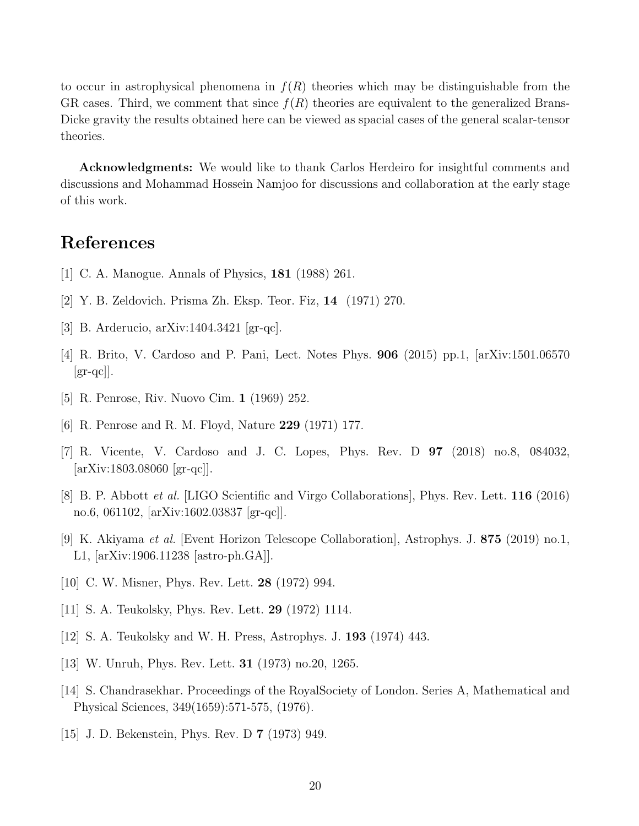to occur in astrophysical phenomena in  $f(R)$  theories which may be distinguishable from the GR cases. Third, we comment that since  $f(R)$  theories are equivalent to the generalized Brans-Dicke gravity the results obtained here can be viewed as spacial cases of the general scalar-tensor theories.

Acknowledgments: We would like to thank Carlos Herdeiro for insightful comments and discussions and Mohammad Hossein Namjoo for discussions and collaboration at the early stage of this work.

## References

- <span id="page-19-0"></span>[1] C. A. Manogue. Annals of Physics, 181 (1988) 261.
- <span id="page-19-1"></span>[2] Y. B. Zeldovich. Prisma Zh. Eksp. Teor. Fiz, 14 (1971) 270.
- <span id="page-19-2"></span>[3] B. Arderucio, arXiv:1404.3421 [gr-qc].
- <span id="page-19-3"></span>[4] R. Brito, V. Cardoso and P. Pani, Lect. Notes Phys. 906 (2015) pp.1, [arXiv:1501.06570  $\left[\text{gr-qc}\right]$ .
- <span id="page-19-11"></span>[5] R. Penrose, Riv. Nuovo Cim. 1 (1969) 252.
- <span id="page-19-12"></span>[6] R. Penrose and R. M. Floyd, Nature 229 (1971) 177.
- <span id="page-19-13"></span>[7] R. Vicente, V. Cardoso and J. C. Lopes, Phys. Rev. D 97 (2018) no.8, 084032, [arXiv:1803.08060 [gr-qc]].
- [8] B. P. Abbott et al. [LIGO Scientific and Virgo Collaborations], Phys. Rev. Lett. 116 (2016) no.6, 061102, [arXiv:1602.03837 [gr-qc]].
- <span id="page-19-4"></span>[9] K. Akiyama et al. [Event Horizon Telescope Collaboration], Astrophys. J. 875 (2019) no.1, L1, [arXiv:1906.11238 [astro-ph.GA]].
- <span id="page-19-5"></span>[10] C. W. Misner, Phys. Rev. Lett. 28 (1972) 994.
- <span id="page-19-6"></span>[11] S. A. Teukolsky, Phys. Rev. Lett. 29 (1972) 1114.
- <span id="page-19-7"></span>[12] S. A. Teukolsky and W. H. Press, Astrophys. J. 193 (1974) 443.
- <span id="page-19-8"></span>[13] W. Unruh, Phys. Rev. Lett. 31 (1973) no.20, 1265.
- <span id="page-19-9"></span>[14] S. Chandrasekhar. Proceedings of the RoyalSociety of London. Series A, Mathematical and Physical Sciences, 349(1659):571-575, (1976).
- <span id="page-19-10"></span>[15] J. D. Bekenstein, Phys. Rev. D 7 (1973) 949.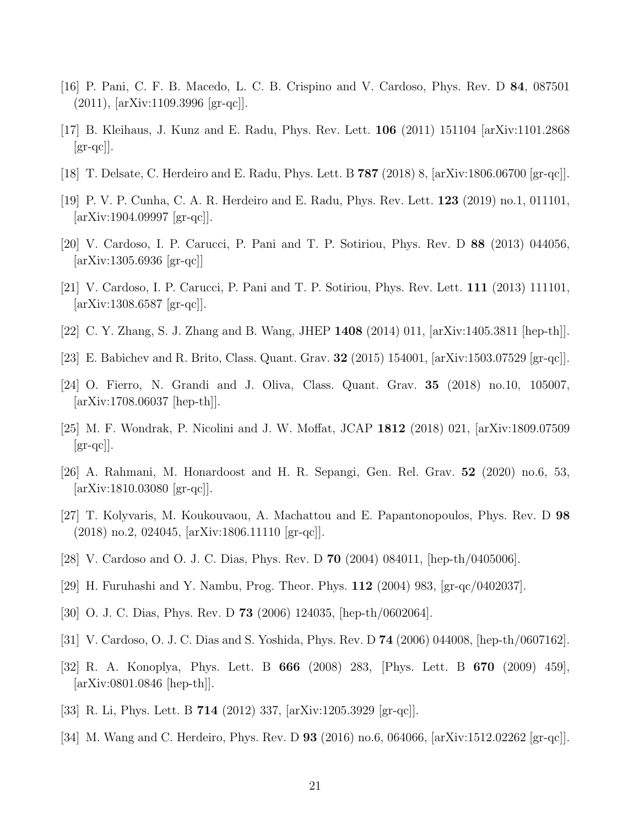- <span id="page-20-0"></span>[16] P. Pani, C. F. B. Macedo, L. C. B. Crispino and V. Cardoso, Phys. Rev. D 84, 087501 (2011), [arXiv:1109.3996 [gr-qc]].
- <span id="page-20-1"></span>[17] B. Kleihaus, J. Kunz and E. Radu, Phys. Rev. Lett. 106 (2011) 151104 [arXiv:1101.2868  $\left[\text{gr-qc}\right]$ .
- <span id="page-20-2"></span>[18] T. Delsate, C. Herdeiro and E. Radu, Phys. Lett. B 787 (2018) 8, [arXiv:1806.06700 [gr-qc]].
- <span id="page-20-3"></span>[19] P. V. P. Cunha, C. A. R. Herdeiro and E. Radu, Phys. Rev. Lett. 123 (2019) no.1, 011101, [arXiv:1904.09997 [gr-qc]].
- <span id="page-20-4"></span>[20] V. Cardoso, I. P. Carucci, P. Pani and T. P. Sotiriou, Phys. Rev. D 88 (2013) 044056, [arXiv:1305.6936 [gr-qc]]
- <span id="page-20-5"></span>[21] V. Cardoso, I. P. Carucci, P. Pani and T. P. Sotiriou, Phys. Rev. Lett. 111 (2013) 111101, [arXiv:1308.6587 [gr-qc]].
- <span id="page-20-6"></span>[22] C. Y. Zhang, S. J. Zhang and B. Wang, JHEP 1408 (2014) 011, [arXiv:1405.3811 [hep-th]].
- [23] E. Babichev and R. Brito, Class. Quant. Grav. 32 (2015) 154001, [arXiv:1503.07529 [gr-qc]].
- [24] O. Fierro, N. Grandi and J. Oliva, Class. Quant. Grav. 35 (2018) no.10, 105007, [arXiv:1708.06037 [hep-th]].
- [25] M. F. Wondrak, P. Nicolini and J. W. Moffat, JCAP 1812 (2018) 021, [arXiv:1809.07509  $\left[\text{gr-qc}\right]$ .
- [26] A. Rahmani, M. Honardoost and H. R. Sepangi, Gen. Rel. Grav. 52 (2020) no.6, 53, [arXiv:1810.03080 [gr-qc]].
- <span id="page-20-7"></span>[27] T. Kolyvaris, M. Koukouvaou, A. Machattou and E. Papantonopoulos, Phys. Rev. D 98 (2018) no.2, 024045, [arXiv:1806.11110 [gr-qc]].
- <span id="page-20-8"></span>[28] V. Cardoso and O. J. C. Dias, Phys. Rev. D 70 (2004) 084011, [hep-th/0405006].
- [29] H. Furuhashi and Y. Nambu, Prog. Theor. Phys. 112 (2004) 983, [gr-qc/0402037].
- [30] O. J. C. Dias, Phys. Rev. D 73 (2006) 124035, [hep-th/0602064].
- [31] V. Cardoso, O. J. C. Dias and S. Yoshida, Phys. Rev. D 74 (2006) 044008, [hep-th/0607162].
- [32] R. A. Konoplya, Phys. Lett. B 666 (2008) 283, [Phys. Lett. B 670 (2009) 459], [arXiv:0801.0846 [hep-th]].
- [33] R. Li, Phys. Lett. B 714 (2012) 337, [arXiv:1205.3929 [gr-qc]].
- [34] M. Wang and C. Herdeiro, Phys. Rev. D  $93$  (2016) no.6, 064066,  $arXiv:1512.02262$  [gr-qc].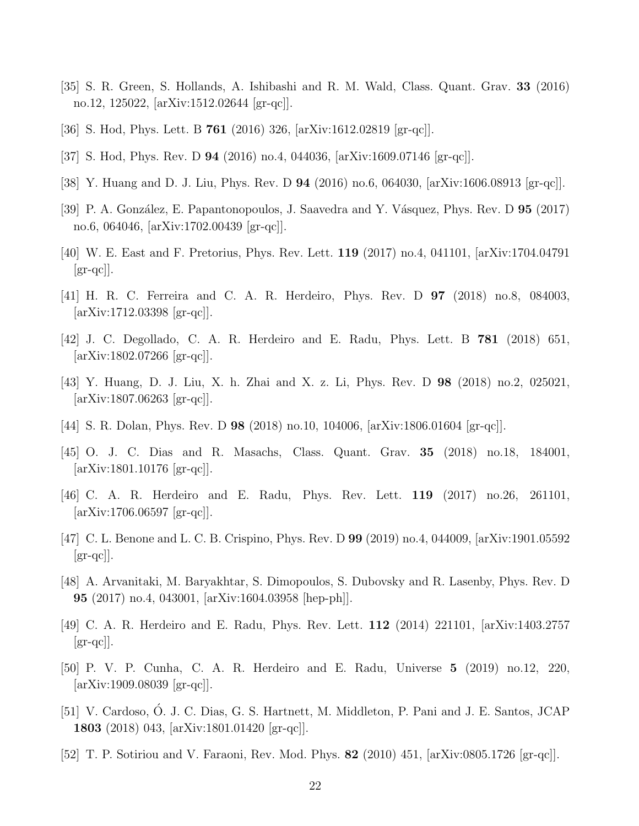- [35] S. R. Green, S. Hollands, A. Ishibashi and R. M. Wald, Class. Quant. Grav. 33 (2016) no.12, 125022, [arXiv:1512.02644 [gr-qc]].
- [36] S. Hod, Phys. Lett. B 761 (2016) 326, [arXiv:1612.02819 [gr-qc]].
- [37] S. Hod, Phys. Rev. D 94 (2016) no.4, 044036, [arXiv:1609.07146 [gr-qc]].
- [38] Y. Huang and D. J. Liu, Phys. Rev. D 94 (2016) no.6, 064030, [arXiv:1606.08913 [gr-qc]].
- [39] P. A. González, E. Papantonopoulos, J. Saavedra and Y. Vásquez, Phys. Rev. D 95 (2017) no.6, 064046, [arXiv:1702.00439 [gr-qc]].
- [40] W. E. East and F. Pretorius, Phys. Rev. Lett. 119 (2017) no.4, 041101, [arXiv:1704.04791  $\left[\text{gr-qc}\right]$ .
- [41] H. R. C. Ferreira and C. A. R. Herdeiro, Phys. Rev. D 97 (2018) no.8, 084003, [arXiv:1712.03398 [gr-qc]].
- [42] J. C. Degollado, C. A. R. Herdeiro and E. Radu, Phys. Lett. B 781 (2018) 651, [arXiv:1802.07266 [gr-qc]].
- [43] Y. Huang, D. J. Liu, X. h. Zhai and X. z. Li, Phys. Rev. D 98 (2018) no.2, 025021, [arXiv:1807.06263 [gr-qc]].
- [44] S. R. Dolan, Phys. Rev. D 98 (2018) no.10, 104006, [arXiv:1806.01604 [gr-qc]].
- [45] O. J. C. Dias and R. Masachs, Class. Quant. Grav. 35 (2018) no.18, 184001, [arXiv:1801.10176 [gr-qc]].
- [46] C. A. R. Herdeiro and E. Radu, Phys. Rev. Lett. 119 (2017) no.26, 261101, [arXiv:1706.06597 [gr-qc]].
- <span id="page-21-0"></span>[47] C. L. Benone and L. C. B. Crispino, Phys. Rev. D 99 (2019) no.4, 044009, [arXiv:1901.05592  $\left[\text{gr-qc}\right]$ .
- <span id="page-21-1"></span>[48] A. Arvanitaki, M. Baryakhtar, S. Dimopoulos, S. Dubovsky and R. Lasenby, Phys. Rev. D 95 (2017) no.4, 043001, [arXiv:1604.03958 [hep-ph]].
- <span id="page-21-2"></span>[49] C. A. R. Herdeiro and E. Radu, Phys. Rev. Lett. 112 (2014) 221101, [arXiv:1403.2757  $\left[\text{gr-qc}\right]$ .
- <span id="page-21-3"></span>[50] P. V. P. Cunha, C. A. R. Herdeiro and E. Radu, Universe 5 (2019) no.12, 220, [arXiv:1909.08039 [gr-qc]].
- <span id="page-21-4"></span>[51] V. Cardoso, Ó. J. C. Dias, G. S. Hartnett, M. Middleton, P. Pani and J. E. Santos, JCAP 1803 (2018) 043, [arXiv:1801.01420 [gr-qc]].
- <span id="page-21-5"></span>[52] T. P. Sotiriou and V. Faraoni, Rev. Mod. Phys. 82 (2010) 451, [arXiv:0805.1726 [gr-qc]].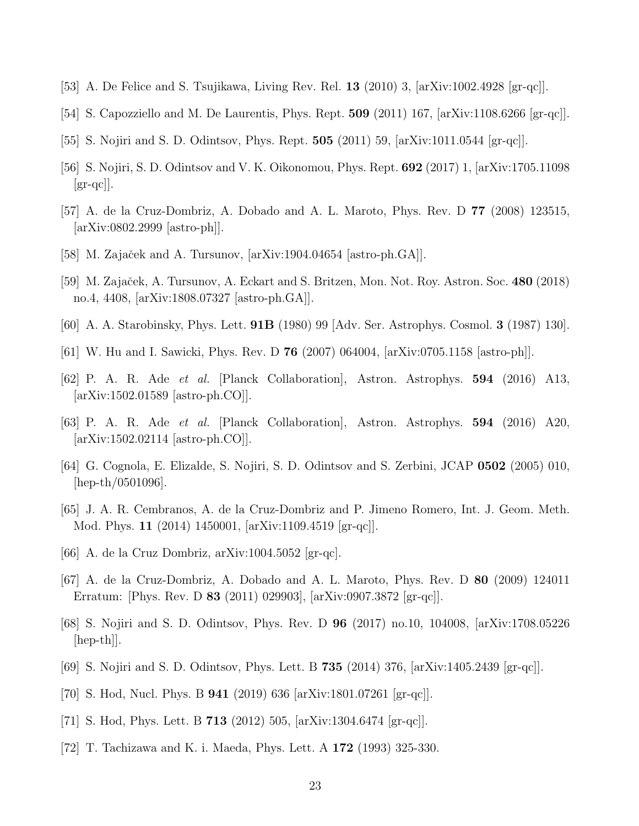- <span id="page-22-0"></span>[53] A. De Felice and S. Tsujikawa, Living Rev. Rel. 13 (2010) 3, [arXiv:1002.4928 [gr-qc]].
- <span id="page-22-1"></span>[54] S. Capozziello and M. De Laurentis, Phys. Rept. 509 (2011) 167, [arXiv:1108.6266 [gr-qc]].
- <span id="page-22-2"></span>[55] S. Nojiri and S. D. Odintsov, Phys. Rept. 505 (2011) 59, [arXiv:1011.0544 [gr-qc]].
- <span id="page-22-3"></span>[56] S. Nojiri, S. D. Odintsov and V. K. Oikonomou, Phys. Rept. 692 (2017) 1, [arXiv:1705.11098  $\left[\text{gr-qc}\right]$ .
- <span id="page-22-4"></span>[57] A. de la Cruz-Dombriz, A. Dobado and A. L. Maroto, Phys. Rev. D 77 (2008) 123515, [arXiv:0802.2999 [astro-ph]].
- <span id="page-22-5"></span>[58] M. Zajaček and A. Tursunov,  $\left[\text{arXiv:1904.04654 }\right]$  [astro-ph.GA]].
- <span id="page-22-6"></span>[59] M. Zajaček, A. Tursunov, A. Eckart and S. Britzen, Mon. Not. Roy. Astron. Soc. 480 (2018) no.4, 4408, [arXiv:1808.07327 [astro-ph.GA]].
- <span id="page-22-7"></span>[60] A. A. Starobinsky, Phys. Lett. 91B (1980) 99 [Adv. Ser. Astrophys. Cosmol. 3 (1987) 130].
- <span id="page-22-8"></span>[61] W. Hu and I. Sawicki, Phys. Rev. D 76 (2007) 064004, [arXiv:0705.1158 [astro-ph]].
- <span id="page-22-9"></span>[62] P. A. R. Ade et al. [Planck Collaboration], Astron. Astrophys. 594 (2016) A13, [arXiv:1502.01589 [astro-ph.CO]].
- <span id="page-22-10"></span>[63] P. A. R. Ade et al. [Planck Collaboration], Astron. Astrophys. 594 (2016) A20, [arXiv:1502.02114 [astro-ph.CO]].
- <span id="page-22-11"></span>[64] G. Cognola, E. Elizalde, S. Nojiri, S. D. Odintsov and S. Zerbini, JCAP 0502 (2005) 010, [hep-th/0501096].
- <span id="page-22-12"></span>[65] J. A. R. Cembranos, A. de la Cruz-Dombriz and P. Jimeno Romero, Int. J. Geom. Meth. Mod. Phys. 11 (2014) 1450001, [arXiv:1109.4519 [gr-qc]].
- <span id="page-22-13"></span>[66] A. de la Cruz Dombriz,  $arXiv:1004.5052$  [gr-qc].
- <span id="page-22-14"></span>[67] A. de la Cruz-Dombriz, A. Dobado and A. L. Maroto, Phys. Rev. D 80 (2009) 124011 Erratum: [Phys. Rev. D 83 (2011) 029903], [arXiv:0907.3872 [gr-qc]].
- <span id="page-22-15"></span>[68] S. Nojiri and S. D. Odintsov, Phys. Rev. D 96 (2017) no.10, 104008, [arXiv:1708.05226 [hep-th]].
- <span id="page-22-16"></span>[69] S. Nojiri and S. D. Odintsov, Phys. Lett. B 735 (2014) 376, [arXiv:1405.2439 [gr-qc]].
- <span id="page-22-17"></span>[70] S. Hod, Nucl. Phys. B 941 (2019) 636 [arXiv:1801.07261 [gr-qc]].
- <span id="page-22-19"></span>[71] S. Hod, Phys. Lett. B 713 (2012) 505, [arXiv:1304.6474 [gr-qc]].
- <span id="page-22-18"></span>[72] T. Tachizawa and K. i. Maeda, Phys. Lett. A 172 (1993) 325-330.